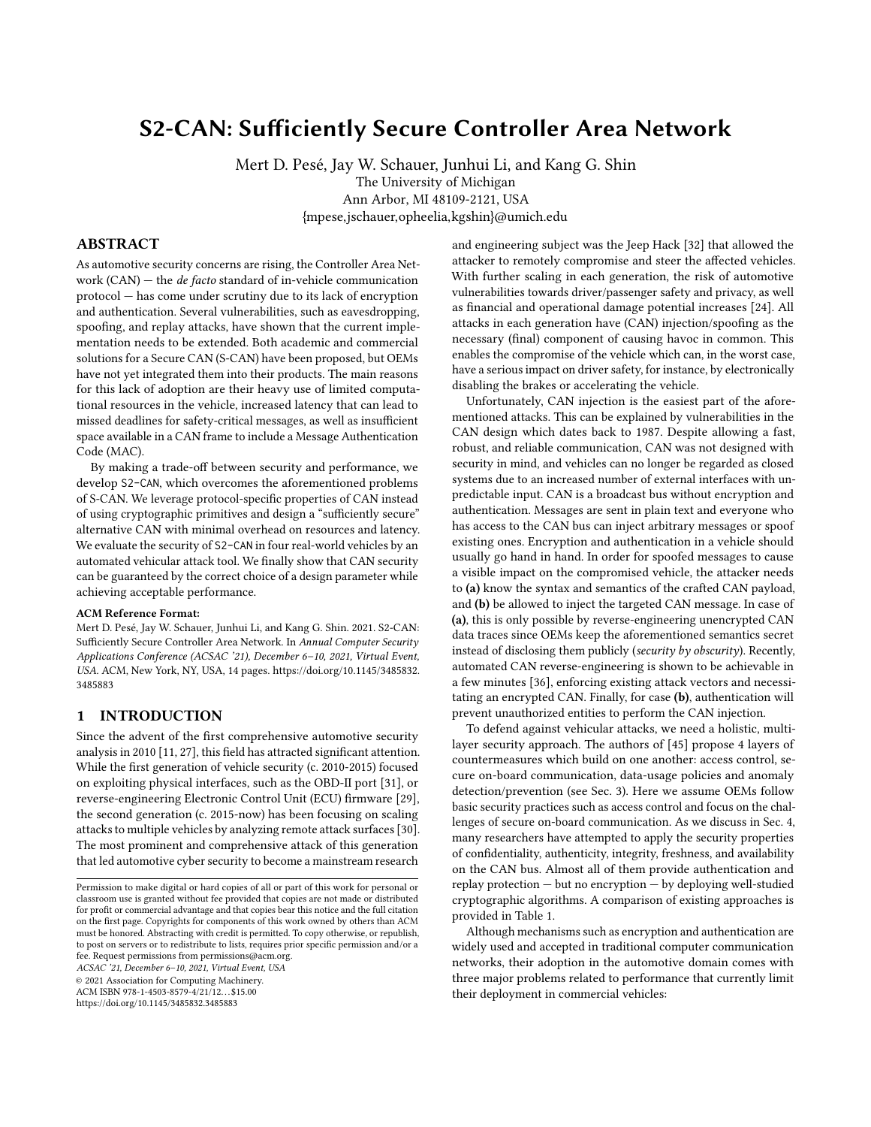# S2-CAN: Sufficiently Secure Controller Area Network

Mert D. Pesé, Jay W. Schauer, Junhui Li, and Kang G. Shin The University of Michigan Ann Arbor, MI 48109-2121, USA {mpese,jschauer,opheelia,kgshin}@umich.edu

# ABSTRACT

As automotive security concerns are rising, the Controller Area Network (CAN)  $-$  the *de facto* standard of in-vehicle communication protocol — has come under scrutiny due to its lack of encryption and authentication. Several vulnerabilities, such as eavesdropping, spoofing, and replay attacks, have shown that the current implementation needs to be extended. Both academic and commercial solutions for a Secure CAN (S-CAN) have been proposed, but OEMs have not yet integrated them into their products. The main reasons for this lack of adoption are their heavy use of limited computational resources in the vehicle, increased latency that can lead to missed deadlines for safety-critical messages, as well as insufficient space available in a CAN frame to include a Message Authentication Code (MAC).

By making a trade-off between security and performance, we develop S2-CAN, which overcomes the aforementioned problems of S-CAN. We leverage protocol-specific properties of CAN instead of using cryptographic primitives and design a "sufficiently secure" alternative CAN with minimal overhead on resources and latency. We evaluate the security of S2-CAN in four real-world vehicles by an automated vehicular attack tool. We finally show that CAN security can be guaranteed by the correct choice of a design parameter while achieving acceptable performance.

#### ACM Reference Format:

Mert D. Pesé, Jay W. Schauer, Junhui Li, and Kang G. Shin. 2021. S2-CAN: Sufficiently Secure Controller Area Network. In Annual Computer Security Applications Conference (ACSAC '21), December 6–10, 2021, Virtual Event, USA. ACM, New York, NY, USA, [14](#page-13-0) pages. [https://doi.org/10.1145/3485832.](https://doi.org/10.1145/3485832.3485883) [3485883](https://doi.org/10.1145/3485832.3485883)

# <span id="page-0-0"></span>1 INTRODUCTION

Since the advent of the first comprehensive automotive security analysis in 2010 [\[11,](#page-12-0) [27\]](#page-12-1), this field has attracted significant attention. While the first generation of vehicle security (c. 2010-2015) focused on exploiting physical interfaces, such as the OBD-II port [\[31\]](#page-12-2), or reverse-engineering Electronic Control Unit (ECU) firmware [\[29\]](#page-12-3), the second generation (c. 2015-now) has been focusing on scaling attacks to multiple vehicles by analyzing remote attack surfaces [\[30\]](#page-12-4). The most prominent and comprehensive attack of this generation that led automotive cyber security to become a mainstream research

ACSAC '21, December 6–10, 2021, Virtual Event, USA

© 2021 Association for Computing Machinery.

ACM ISBN 978-1-4503-8579-4/21/12. . . \$15.00

<https://doi.org/10.1145/3485832.3485883>

and engineering subject was the Jeep Hack [\[32\]](#page-12-5) that allowed the attacker to remotely compromise and steer the affected vehicles. With further scaling in each generation, the risk of automotive vulnerabilities towards driver/passenger safety and privacy, as well as financial and operational damage potential increases [\[24\]](#page-12-6). All attacks in each generation have (CAN) injection/spoofing as the necessary (final) component of causing havoc in common. This enables the compromise of the vehicle which can, in the worst case, have a serious impact on driver safety, for instance, by electronically disabling the brakes or accelerating the vehicle.

Unfortunately, CAN injection is the easiest part of the aforementioned attacks. This can be explained by vulnerabilities in the CAN design which dates back to 1987. Despite allowing a fast, robust, and reliable communication, CAN was not designed with security in mind, and vehicles can no longer be regarded as closed systems due to an increased number of external interfaces with unpredictable input. CAN is a broadcast bus without encryption and authentication. Messages are sent in plain text and everyone who has access to the CAN bus can inject arbitrary messages or spoof existing ones. Encryption and authentication in a vehicle should usually go hand in hand. In order for spoofed messages to cause a visible impact on the compromised vehicle, the attacker needs to (a) know the syntax and semantics of the crafted CAN payload, and (b) be allowed to inject the targeted CAN message. In case of (a), this is only possible by reverse-engineering unencrypted CAN data traces since OEMs keep the aforementioned semantics secret instead of disclosing them publicly (security by obscurity). Recently, automated CAN reverse-engineering is shown to be achievable in a few minutes [\[36\]](#page-12-7), enforcing existing attack vectors and necessitating an encrypted CAN. Finally, for case (b), authentication will prevent unauthorized entities to perform the CAN injection.

To defend against vehicular attacks, we need a holistic, multilayer security approach. The authors of [\[45\]](#page-12-8) propose 4 layers of countermeasures which build on one another: access control, secure on-board communication, data-usage policies and anomaly detection/prevention (see Sec. [3\)](#page-2-0). Here we assume OEMs follow basic security practices such as access control and focus on the challenges of secure on-board communication. As we discuss in Sec. [4,](#page-3-0) many researchers have attempted to apply the security properties of confidentiality, authenticity, integrity, freshness, and availability on the CAN bus. Almost all of them provide authentication and replay protection — but no encryption — by deploying well-studied cryptographic algorithms. A comparison of existing approaches is provided in Table [1.](#page-1-0)

Although mechanisms such as encryption and authentication are widely used and accepted in traditional computer communication networks, their adoption in the automotive domain comes with three major problems related to performance that currently limit their deployment in commercial vehicles:

Permission to make digital or hard copies of all or part of this work for personal or classroom use is granted without fee provided that copies are not made or distributed for profit or commercial advantage and that copies bear this notice and the full citation on the first page. Copyrights for components of this work owned by others than ACM must be honored. Abstracting with credit is permitted. To copy otherwise, or republish, to post on servers or to redistribute to lists, requires prior specific permission and/or a fee. Request permissions from permissions@acm.org.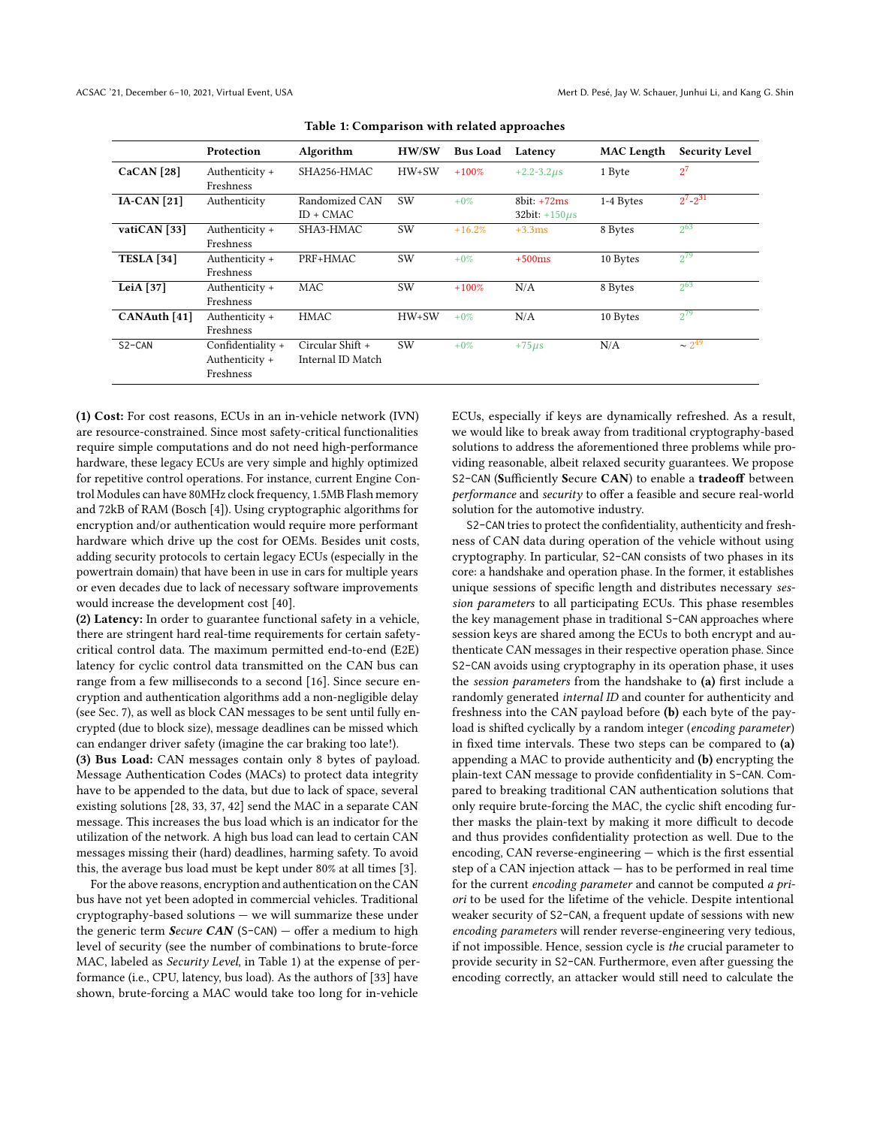<span id="page-1-0"></span>

|                   | Protection                                       | Algorithm                             | <b>HW/SW</b> | <b>Bus Load</b> | Latency                              | <b>MAC</b> Length | <b>Security Level</b> |
|-------------------|--------------------------------------------------|---------------------------------------|--------------|-----------------|--------------------------------------|-------------------|-----------------------|
| CaCAN [28]        | Authenticity +<br>Freshness                      | SHA256-HMAC                           | $HW+SW$      | $+100%$         | $+2.2 - 3.2 \mu s$                   | 1 Byte            | $2^7$                 |
| $IA-CAN [21]$     | Authenticity                                     | Randomized CAN<br>$ID + CMAC$         | <b>SW</b>    | $+0\%$          | $8bit: +72ms$<br>32bit: $+150 \mu s$ | 1-4 Bytes         | $2^7 \cdot 2^{31}$    |
| vatiCAN [33]      | Authenticity +<br>Freshness                      | SHA3-HMAC                             | <b>SW</b>    | $+16.2%$        | $+3.3ms$                             | 8 Bytes           | $2^{63}$              |
| <b>TESLA</b> [34] | Authenticity +<br>Freshness                      | PRF+HMAC                              | <b>SW</b>    | $+0\%$          | $+500$ ms                            | 10 Bytes          | $2^{79}$              |
| LeiA $[37]$       | Authenticity +<br>Freshness                      | MAC                                   | <b>SW</b>    | $+100%$         | N/A                                  | 8 Bytes           | $2^{63}$              |
| CANAuth [41]      | Authenticity +<br>Freshness                      | HMAC                                  | $HW+SW$      | $+0\%$          | N/A                                  | 10 Bytes          | $2^{79}$              |
| $S2-CAN$          | Confidentiality +<br>Authenticity +<br>Freshness | Circular Shift +<br>Internal ID Match | <b>SW</b>    | $+0\%$          | $+75 \mu s$                          | N/A               | $\sim 2^{49}$         |

Table 1: Comparison with related approaches

(1) Cost: For cost reasons, ECUs in an in-vehicle network (IVN) are resource-constrained. Since most safety-critical functionalities require simple computations and do not need high-performance hardware, these legacy ECUs are very simple and highly optimized for repetitive control operations. For instance, current Engine Control Modules can have 80MHz clock frequency, 1.5MB Flash memory and 72kB of RAM (Bosch [\[4\]](#page-12-15)). Using cryptographic algorithms for encryption and/or authentication would require more performant hardware which drive up the cost for OEMs. Besides unit costs, adding security protocols to certain legacy ECUs (especially in the powertrain domain) that have been in use in cars for multiple years or even decades due to lack of necessary software improvements would increase the development cost [\[40\]](#page-12-16).

(2) Latency: In order to guarantee functional safety in a vehicle, there are stringent hard real-time requirements for certain safetycritical control data. The maximum permitted end-to-end (E2E) latency for cyclic control data transmitted on the CAN bus can range from a few milliseconds to a second [\[16\]](#page-12-17). Since secure encryption and authentication algorithms add a non-negligible delay (see Sec. [7\)](#page-7-0), as well as block CAN messages to be sent until fully encrypted (due to block size), message deadlines can be missed which can endanger driver safety (imagine the car braking too late!).

(3) Bus Load: CAN messages contain only 8 bytes of payload. Message Authentication Codes (MACs) to protect data integrity have to be appended to the data, but due to lack of space, several existing solutions [\[28,](#page-12-9) [33,](#page-12-11) [37,](#page-12-13) [42\]](#page-12-18) send the MAC in a separate CAN message. This increases the bus load which is an indicator for the utilization of the network. A high bus load can lead to certain CAN messages missing their (hard) deadlines, harming safety. To avoid this, the average bus load must be kept under 80% at all times [\[3\]](#page-12-19).

For the above reasons, encryption and authentication on the CAN bus have not yet been adopted in commercial vehicles. Traditional cryptography-based solutions — we will summarize these under the generic term Secure CAN (S-CAN) – offer a medium to high level of security (see the number of combinations to brute-force MAC, labeled as Security Level, in Table [1\)](#page-1-0) at the expense of performance (i.e., CPU, latency, bus load). As the authors of [\[33\]](#page-12-11) have shown, brute-forcing a MAC would take too long for in-vehicle

ECUs, especially if keys are dynamically refreshed. As a result, we would like to break away from traditional cryptography-based solutions to address the aforementioned three problems while providing reasonable, albeit relaxed security guarantees. We propose S2-CAN (Sufficiently Secure CAN) to enable a tradeoff between performance and security to offer a feasible and secure real-world solution for the automotive industry.

S2-CAN tries to protect the confidentiality, authenticity and freshness of CAN data during operation of the vehicle without using cryptography. In particular, S2-CAN consists of two phases in its core: a handshake and operation phase. In the former, it establishes unique sessions of specific length and distributes necessary session parameters to all participating ECUs. This phase resembles the key management phase in traditional S-CAN approaches where session keys are shared among the ECUs to both encrypt and authenticate CAN messages in their respective operation phase. Since S2-CAN avoids using cryptography in its operation phase, it uses the session parameters from the handshake to (a) first include a randomly generated internal ID and counter for authenticity and freshness into the CAN payload before (b) each byte of the payload is shifted cyclically by a random integer (encoding parameter) in fixed time intervals. These two steps can be compared to (a) appending a MAC to provide authenticity and (b) encrypting the plain-text CAN message to provide confidentiality in S-CAN. Compared to breaking traditional CAN authentication solutions that only require brute-forcing the MAC, the cyclic shift encoding further masks the plain-text by making it more difficult to decode and thus provides confidentiality protection as well. Due to the encoding, CAN reverse-engineering — which is the first essential step of a CAN injection attack — has to be performed in real time for the current encoding parameter and cannot be computed a priori to be used for the lifetime of the vehicle. Despite intentional weaker security of S2-CAN, a frequent update of sessions with new encoding parameters will render reverse-engineering very tedious, if not impossible. Hence, session cycle is the crucial parameter to provide security in S2-CAN. Furthermore, even after guessing the encoding correctly, an attacker would still need to calculate the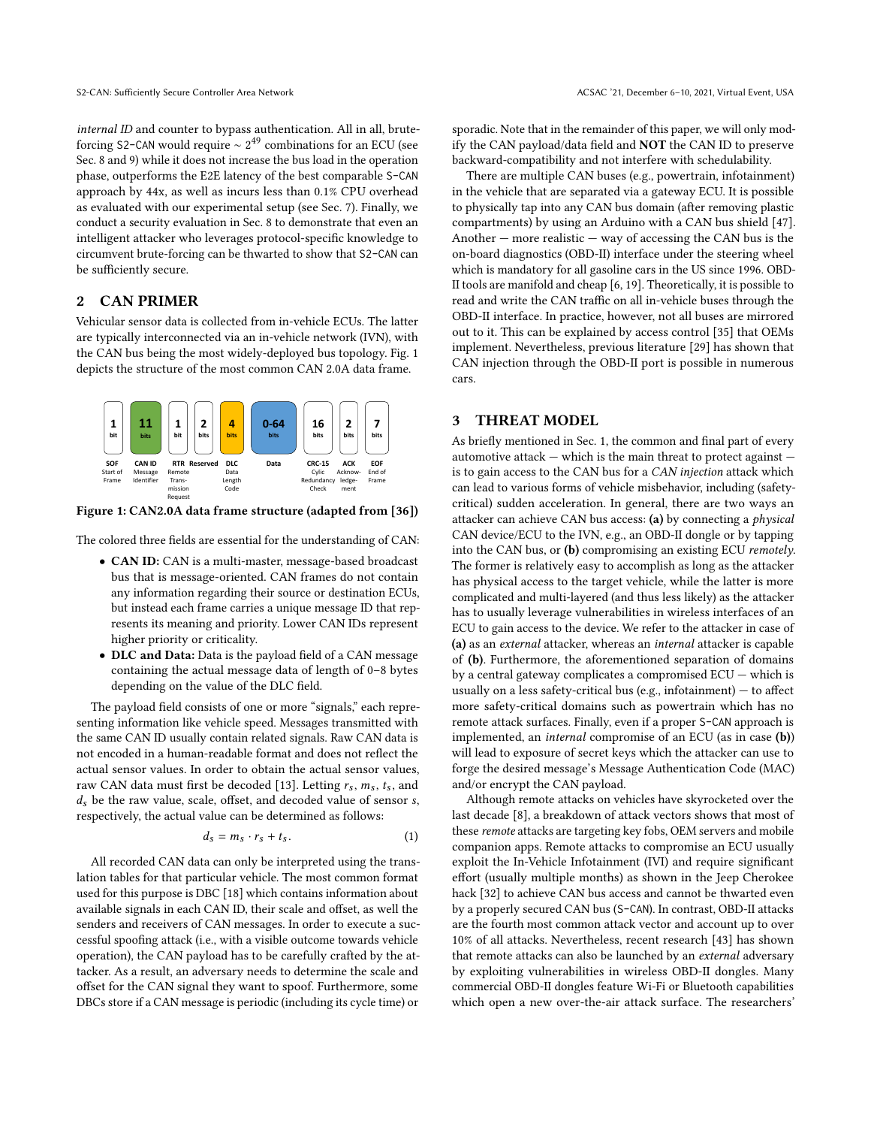internal ID and counter to bypass authentication. All in all, bruteforcing S2-CAN would require  $\sim 2^{49}$  combinations for an ECU (see Sec. [8](#page-9-0) and [9\)](#page-11-0) while it does not increase the bus load in the operation phase, outperforms the E2E latency of the best comparable S-CAN approach by 44x, as well as incurs less than 0.1% CPU overhead as evaluated with our experimental setup (see Sec. [7\)](#page-7-0). Finally, we conduct a security evaluation in Sec. [8](#page-9-0) to demonstrate that even an intelligent attacker who leverages protocol-specific knowledge to circumvent brute-forcing can be thwarted to show that S2-CAN can be sufficiently secure.

## 2 CAN PRIMER

Vehicular sensor data is collected from in-vehicle ECUs. The latter are typically interconnected via an in-vehicle network (IVN), with the CAN bus being the most widely-deployed bus topology. Fig. [1](#page-2-1) depicts the structure of the most common CAN 2.0A data frame.

<span id="page-2-1"></span>

Figure 1: CAN2.0A data frame structure (adapted from [\[36\]](#page-12-7))

The colored three fields are essential for the understanding of CAN:

- CAN ID: CAN is a multi-master, message-based broadcast bus that is message-oriented. CAN frames do not contain any information regarding their source or destination ECUs, but instead each frame carries a unique message ID that represents its meaning and priority. Lower CAN IDs represent higher priority or criticality.
- DLC and Data: Data is the payload field of a CAN message containing the actual message data of length of 0–8 bytes depending on the value of the DLC field.

The payload field consists of one or more "signals," each representing information like vehicle speed. Messages transmitted with the same CAN ID usually contain related signals. Raw CAN data is not encoded in a human-readable format and does not reflect the actual sensor values. In order to obtain the actual sensor values, raw CAN data must first be decoded [\[13\]](#page-12-20). Letting  $r_s$ ,  $m_s$ ,  $t_s$ , and  $d<sub>s</sub>$  be the raw value, scale, offset, and decoded value of sensor s, respectively, the actual value can be determined as follows:

$$
d_s = m_s \cdot r_s + t_s. \tag{1}
$$

All recorded CAN data can only be interpreted using the translation tables for that particular vehicle. The most common format used for this purpose is DBC [\[18\]](#page-12-21) which contains information about available signals in each CAN ID, their scale and offset, as well the senders and receivers of CAN messages. In order to execute a successful spoofing attack (i.e., with a visible outcome towards vehicle operation), the CAN payload has to be carefully crafted by the attacker. As a result, an adversary needs to determine the scale and offset for the CAN signal they want to spoof. Furthermore, some DBCs store if a CAN message is periodic (including its cycle time) or

sporadic. Note that in the remainder of this paper, we will only modify the CAN payload/data field and NOT the CAN ID to preserve backward-compatibility and not interfere with schedulability.

There are multiple CAN buses (e.g., powertrain, infotainment) in the vehicle that are separated via a gateway ECU. It is possible to physically tap into any CAN bus domain (after removing plastic compartments) by using an Arduino with a CAN bus shield [\[47\]](#page-12-22). Another  $-$  more realistic  $-$  way of accessing the CAN bus is the on-board diagnostics (OBD-II) interface under the steering wheel which is mandatory for all gasoline cars in the US since 1996. OBD-II tools are manifold and cheap [\[6,](#page-12-23) [19\]](#page-12-24). Theoretically, it is possible to read and write the CAN traffic on all in-vehicle buses through the OBD-II interface. In practice, however, not all buses are mirrored out to it. This can be explained by access control [\[35\]](#page-12-25) that OEMs implement. Nevertheless, previous literature [\[29\]](#page-12-3) has shown that CAN injection through the OBD-II port is possible in numerous cars.

## <span id="page-2-0"></span>3 THREAT MODEL

As briefly mentioned in Sec. [1,](#page-0-0) the common and final part of every automotive attack  $-$  which is the main threat to protect against  $$ is to gain access to the CAN bus for a CAN injection attack which can lead to various forms of vehicle misbehavior, including (safetycritical) sudden acceleration. In general, there are two ways an attacker can achieve CAN bus access: (a) by connecting a physical CAN device/ECU to the IVN, e.g., an OBD-II dongle or by tapping into the CAN bus, or (b) compromising an existing ECU remotely. The former is relatively easy to accomplish as long as the attacker has physical access to the target vehicle, while the latter is more complicated and multi-layered (and thus less likely) as the attacker has to usually leverage vulnerabilities in wireless interfaces of an ECU to gain access to the device. We refer to the attacker in case of (a) as an external attacker, whereas an internal attacker is capable of (b). Furthermore, the aforementioned separation of domains by a central gateway complicates a compromised ECU — which is usually on a less safety-critical bus (e.g., infotainment) — to affect more safety-critical domains such as powertrain which has no remote attack surfaces. Finally, even if a proper S-CAN approach is implemented, an internal compromise of an ECU (as in case (b)) will lead to exposure of secret keys which the attacker can use to forge the desired message's Message Authentication Code (MAC) and/or encrypt the CAN payload.

Although remote attacks on vehicles have skyrocketed over the last decade [\[8\]](#page-12-26), a breakdown of attack vectors shows that most of these remote attacks are targeting key fobs, OEM servers and mobile companion apps. Remote attacks to compromise an ECU usually exploit the In-Vehicle Infotainment (IVI) and require significant effort (usually multiple months) as shown in the Jeep Cherokee hack [\[32\]](#page-12-5) to achieve CAN bus access and cannot be thwarted even by a properly secured CAN bus (S-CAN). In contrast, OBD-II attacks are the fourth most common attack vector and account up to over 10% of all attacks. Nevertheless, recent research [\[43\]](#page-12-27) has shown that remote attacks can also be launched by an external adversary by exploiting vulnerabilities in wireless OBD-II dongles. Many commercial OBD-II dongles feature Wi-Fi or Bluetooth capabilities which open a new over-the-air attack surface. The researchers'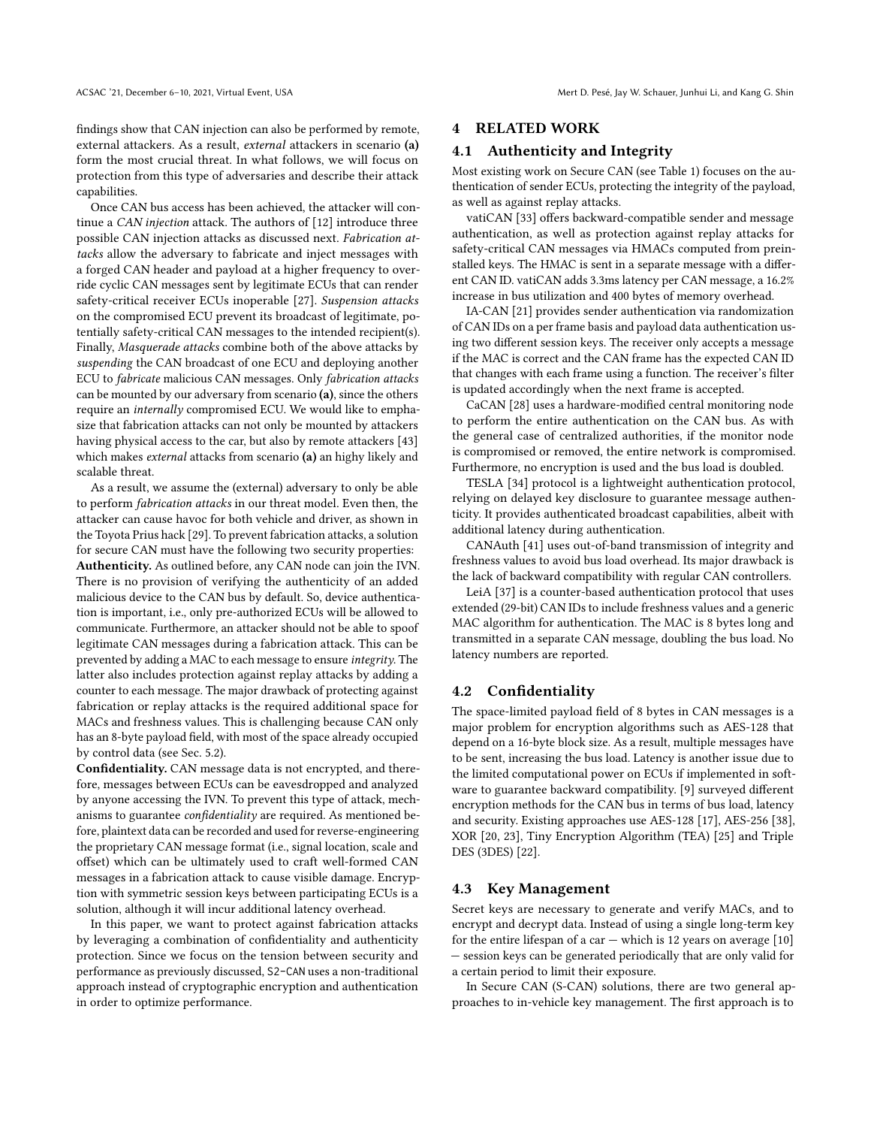findings show that CAN injection can also be performed by remote, external attackers. As a result, external attackers in scenario (a) form the most crucial threat. In what follows, we will focus on protection from this type of adversaries and describe their attack capabilities.

Once CAN bus access has been achieved, the attacker will continue a CAN injection attack. The authors of [\[12\]](#page-12-28) introduce three possible CAN injection attacks as discussed next. Fabrication attacks allow the adversary to fabricate and inject messages with a forged CAN header and payload at a higher frequency to override cyclic CAN messages sent by legitimate ECUs that can render safety-critical receiver ECUs inoperable [\[27\]](#page-12-1). Suspension attacks on the compromised ECU prevent its broadcast of legitimate, potentially safety-critical CAN messages to the intended recipient(s). Finally, Masquerade attacks combine both of the above attacks by suspending the CAN broadcast of one ECU and deploying another ECU to fabricate malicious CAN messages. Only fabrication attacks can be mounted by our adversary from scenario (a), since the others require an *internally* compromised ECU. We would like to emphasize that fabrication attacks can not only be mounted by attackers having physical access to the car, but also by remote attackers [\[43\]](#page-12-27) which makes *external* attacks from scenario (a) an highy likely and scalable threat.

As a result, we assume the (external) adversary to only be able to perform fabrication attacks in our threat model. Even then, the attacker can cause havoc for both vehicle and driver, as shown in the Toyota Prius hack [\[29\]](#page-12-3). To prevent fabrication attacks, a solution for secure CAN must have the following two security properties: Authenticity. As outlined before, any CAN node can join the IVN. There is no provision of verifying the authenticity of an added malicious device to the CAN bus by default. So, device authentication is important, i.e., only pre-authorized ECUs will be allowed to communicate. Furthermore, an attacker should not be able to spoof legitimate CAN messages during a fabrication attack. This can be prevented by adding a MAC to each message to ensure integrity. The latter also includes protection against replay attacks by adding a counter to each message. The major drawback of protecting against fabrication or replay attacks is the required additional space for MACs and freshness values. This is challenging because CAN only has an 8-byte payload field, with most of the space already occupied by control data (see Sec. [5.2\)](#page-4-0).

Confidentiality. CAN message data is not encrypted, and therefore, messages between ECUs can be eavesdropped and analyzed by anyone accessing the IVN. To prevent this type of attack, mechanisms to guarantee confidentiality are required. As mentioned before, plaintext data can be recorded and used for reverse-engineering the proprietary CAN message format (i.e., signal location, scale and offset) which can be ultimately used to craft well-formed CAN messages in a fabrication attack to cause visible damage. Encryption with symmetric session keys between participating ECUs is a solution, although it will incur additional latency overhead.

In this paper, we want to protect against fabrication attacks by leveraging a combination of confidentiality and authenticity protection. Since we focus on the tension between security and performance as previously discussed, S2-CAN uses a non-traditional approach instead of cryptographic encryption and authentication in order to optimize performance.

## <span id="page-3-0"></span>4 RELATED WORK

#### 4.1 Authenticity and Integrity

Most existing work on Secure CAN (see Table [1\)](#page-1-0) focuses on the authentication of sender ECUs, protecting the integrity of the payload, as well as against replay attacks.

vatiCAN [\[33\]](#page-12-11) offers backward-compatible sender and message authentication, as well as protection against replay attacks for safety-critical CAN messages via HMACs computed from preinstalled keys. The HMAC is sent in a separate message with a different CAN ID. vatiCAN adds 3.3ms latency per CAN message, a 16.2% increase in bus utilization and 400 bytes of memory overhead.

IA-CAN [\[21\]](#page-12-10) provides sender authentication via randomization of CAN IDs on a per frame basis and payload data authentication using two different session keys. The receiver only accepts a message if the MAC is correct and the CAN frame has the expected CAN ID that changes with each frame using a function. The receiver's filter is updated accordingly when the next frame is accepted.

CaCAN [\[28\]](#page-12-9) uses a hardware-modified central monitoring node to perform the entire authentication on the CAN bus. As with the general case of centralized authorities, if the monitor node is compromised or removed, the entire network is compromised. Furthermore, no encryption is used and the bus load is doubled.

TESLA [\[34\]](#page-12-12) protocol is a lightweight authentication protocol, relying on delayed key disclosure to guarantee message authenticity. It provides authenticated broadcast capabilities, albeit with additional latency during authentication.

CANAuth [\[41\]](#page-12-14) uses out-of-band transmission of integrity and freshness values to avoid bus load overhead. Its major drawback is the lack of backward compatibility with regular CAN controllers.

LeiA [\[37\]](#page-12-13) is a counter-based authentication protocol that uses extended (29-bit) CAN IDs to include freshness values and a generic MAC algorithm for authentication. The MAC is 8 bytes long and transmitted in a separate CAN message, doubling the bus load. No latency numbers are reported.

#### <span id="page-3-2"></span>4.2 Confidentiality

The space-limited payload field of 8 bytes in CAN messages is a major problem for encryption algorithms such as AES-128 that depend on a 16-byte block size. As a result, multiple messages have to be sent, increasing the bus load. Latency is another issue due to the limited computational power on ECUs if implemented in software to guarantee backward compatibility. [\[9\]](#page-12-29) surveyed different encryption methods for the CAN bus in terms of bus load, latency and security. Existing approaches use AES-128 [\[17\]](#page-12-30), AES-256 [\[38\]](#page-12-31), XOR [\[20,](#page-12-32) [23\]](#page-12-33), Tiny Encryption Algorithm (TEA) [\[25\]](#page-12-34) and Triple DES (3DES) [\[22\]](#page-12-35).

#### <span id="page-3-1"></span>4.3 Key Management

Secret keys are necessary to generate and verify MACs, and to encrypt and decrypt data. Instead of using a single long-term key for the entire lifespan of a car  $-$  which is 12 years on average  $[10]$ — session keys can be generated periodically that are only valid for a certain period to limit their exposure.

In Secure CAN (S-CAN) solutions, there are two general approaches to in-vehicle key management. The first approach is to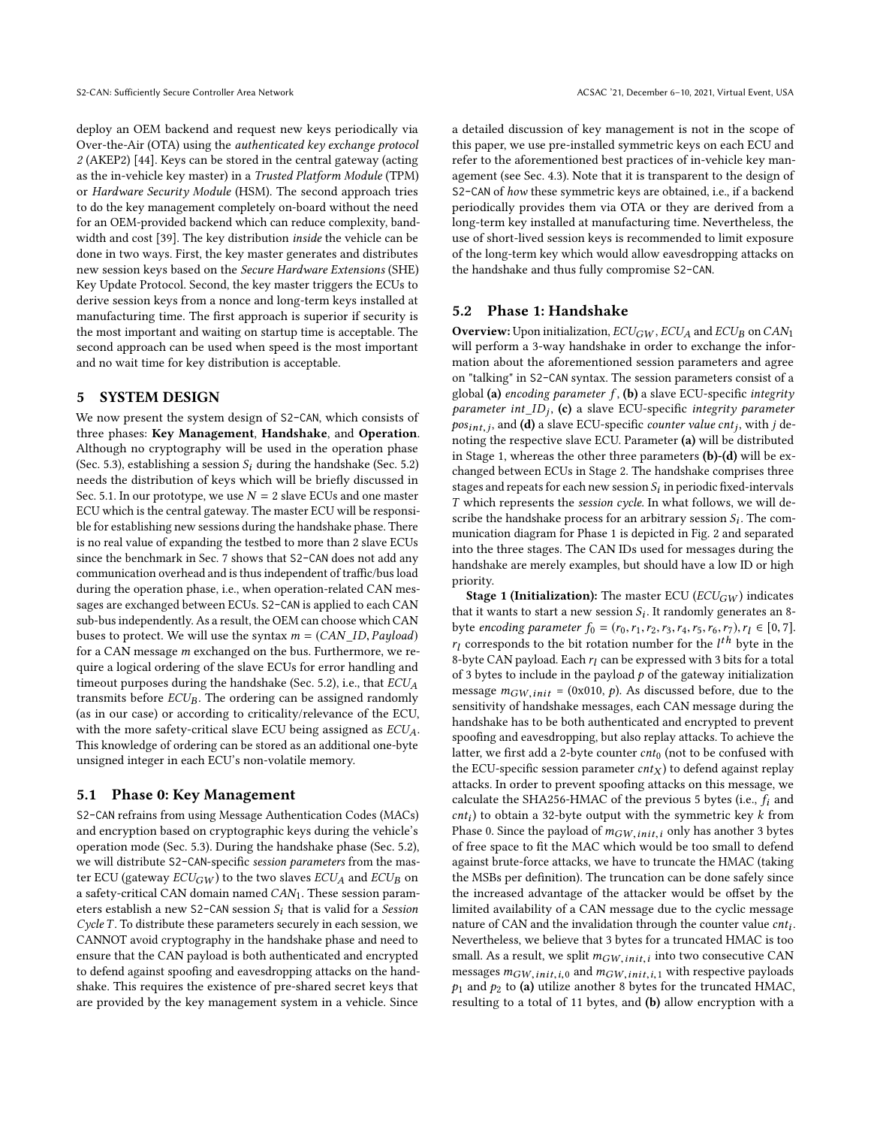deploy an OEM backend and request new keys periodically via Over-the-Air (OTA) using the authenticated key exchange protocol 2 (AKEP2) [\[44\]](#page-12-37). Keys can be stored in the central gateway (acting as the in-vehicle key master) in a Trusted Platform Module (TPM) or Hardware Security Module (HSM). The second approach tries to do the key management completely on-board without the need for an OEM-provided backend which can reduce complexity, bandwidth and cost [\[39\]](#page-12-38). The key distribution inside the vehicle can be done in two ways. First, the key master generates and distributes new session keys based on the Secure Hardware Extensions (SHE) Key Update Protocol. Second, the key master triggers the ECUs to derive session keys from a nonce and long-term keys installed at manufacturing time. The first approach is superior if security is the most important and waiting on startup time is acceptable. The second approach can be used when speed is the most important and no wait time for key distribution is acceptable.

#### 5 SYSTEM DESIGN

We now present the system design of S2-CAN, which consists of three phases: Key Management, Handshake, and Operation. Although no cryptography will be used in the operation phase (Sec. [5.3\)](#page-6-0), establishing a session  $S_i$  during the handshake (Sec. [5.2\)](#page-4-0) needs the distribution of keys which will be briefly discussed in Sec. [5.1.](#page-4-1) In our prototype, we use  $N = 2$  slave ECUs and one master ECU which is the central gateway. The master ECU will be responsible for establishing new sessions during the handshake phase. There is no real value of expanding the testbed to more than 2 slave ECUs since the benchmark in Sec. [7](#page-7-0) shows that S2-CAN does not add any communication overhead and is thus independent of traffic/bus load during the operation phase, i.e., when operation-related CAN messages are exchanged between ECUs. S2-CAN is applied to each CAN sub-bus independently. As a result, the OEM can choose which CAN buses to protect. We will use the syntax  $m = (CAN\_ID, Payload)$ for a CAN message m exchanged on the bus. Furthermore, we require a logical ordering of the slave ECUs for error handling and timeout purposes during the handshake (Sec. [5.2\)](#page-4-0), i.e., that  $ECU_A$ transmits before  $ECU_B$ . The ordering can be assigned randomly (as in our case) or according to criticality/relevance of the ECU, with the more safety-critical slave ECU being assigned as  $ECU_A$ . This knowledge of ordering can be stored as an additional one-byte unsigned integer in each ECU's non-volatile memory.

#### <span id="page-4-1"></span>5.1 Phase 0: Key Management

S2-CAN refrains from using Message Authentication Codes (MACs) and encryption based on cryptographic keys during the vehicle's operation mode (Sec. [5.3\)](#page-6-0). During the handshake phase (Sec. [5.2\)](#page-4-0), we will distribute S2-CAN-specific session parameters from the master ECU (gateway  $ECU_{GW}$ ) to the two slaves  $ECU_A$  and  $ECU_B$  on a safety-critical CAN domain named  $CAN_1$ . These session parameters establish a new S2-CAN session  $S_i$  that is valid for a Session Cycle T. To distribute these parameters securely in each session, we CANNOT avoid cryptography in the handshake phase and need to ensure that the CAN payload is both authenticated and encrypted to defend against spoofing and eavesdropping attacks on the handshake. This requires the existence of pre-shared secret keys that are provided by the key management system in a vehicle. Since

a detailed discussion of key management is not in the scope of this paper, we use pre-installed symmetric keys on each ECU and refer to the aforementioned best practices of in-vehicle key management (see Sec. [4.3\)](#page-3-1). Note that it is transparent to the design of S2-CAN of how these symmetric keys are obtained, i.e., if a backend periodically provides them via OTA or they are derived from a long-term key installed at manufacturing time. Nevertheless, the use of short-lived session keys is recommended to limit exposure of the long-term key which would allow eavesdropping attacks on the handshake and thus fully compromise S2-CAN.

#### <span id="page-4-0"></span>5.2 Phase 1: Handshake

**Overview:** Upon initialization,  $ECU_{GW}$ ,  $ECU_{A}$  and  $ECU_{B}$  on  $CAN_{1}$ will perform a 3-way handshake in order to exchange the information about the aforementioned session parameters and agree on "talking" in S2-CAN syntax. The session parameters consist of a global (a) encoding parameter  $f$ , (b) a slave ECU-specific integrity parameter int  $ID_j$ , (c) a slave ECU-specific integrity parameter<br>positive and (d) a slave ECU-specific counter value cut; with i de $pos_{int,j}$ , and (**d**) a slave ECU-specific *counter value cnt<sub>j</sub>*, with *j* depending the respective slave ECU Parameter (a) will be distributed noting the respective slave ECU. Parameter (a) will be distributed in Stage 1, whereas the other three parameters (b)-(d) will be exchanged between ECUs in Stage 2. The handshake comprises three stages and repeats for each new session  $S_i$  in periodic fixed-intervals  $T$  which represents the session on the Industry follows, we will de- $T$  which represents the session cycle. In what follows, we will describe the handshake process for an arbitrary session  $S_i$ . The com-<br>munication digaram for Phase 1 is depicted in Fig. 2 and separated munication diagram for Phase 1 is depicted in Fig. [2](#page-5-0) and separated into the three stages. The CAN IDs used for messages during the handshake are merely examples, but should have a low ID or high priority.

**Stage 1 (Initialization):** The master ECU ( $ECU_{GW}$ ) indicates that it wants to start a new session  $S_i$ . It randomly generates an 8-<br>byte encoding parameter  $f_2 = (r_2, r_1, r_2, r_3, r_4, r_5, r_6, r_7, r_8, r_9, r_1, r_1, r_2, r_3, r_1, r_2, r_3, r_4, r_5, r_6, r_7, r_7, r_8, r_9, r_1, r_1, r_2, r_3, r_4, r_5,$ byte encoding parameter  $f_0 = (r_0, r_1, r_2, r_3, r_4, r_5, r_6, r_7), r_l \in [0, 7]$ .  $r_l$  corresponds to the bit rotation number for the  $l^{th}$  byte in the s-byte CAN payload. Each r, can be expressed with 3 bits for a total 8-byte CAN payload. Each  $r_l$  can be expressed with 3 bits for a total<br>of 3 bytes to include in the payload n of the gateway initialization of 3 bytes to include in the payload  $p$  of the gateway initialization message  $m_{GW,init} = (0x010, p)$ . As discussed before, due to the sensitivity of handshake messages, each CAN message during the handshake has to be both authenticated and encrypted to prevent spoofing and eavesdropping, but also replay attacks. To achieve the latter, we first add a 2-byte counter  $cnt_0$  (not to be confused with the ECU-specific session parameter  $cnt_X$ ) to defend against replay attacks. In order to prevent spoofing attacks on this message, we calculate the SHA256-HMAC of the previous 5 bytes (i.e.,  $f_i$  and *cnt<sub>i</sub>*) to obtain a 32-byte output with the symmetric key *k* from<br>Phase 0. Since the payload of  $m_{GW,init,i}$  only has another 3 bytes<br>of free space to fit the MAC which would be too small to defend  $\text{cnt}_i$ ) to obtain a 32-byte output with the symmetric key k from of free space to fit the MAC which would be too small to defend against brute-force attacks, we have to truncate the HMAC (taking the MSBs per definition). The truncation can be done safely since the increased advantage of the attacker would be offset by the limited availability of a CAN message due to the cyclic message nature of CAN and the invalidation through the counter value  $cnt_i$ .<br>Nevertheless, we believe that 3 bytes for a truncated HMAC is too. Nevertheless, we believe that 3 bytes for a truncated HMAC is too small. As a result, we split  $m_{GW,init,i}$  into two consecutive CAN messages  $m_{GVM,i}$  is and  $m_{GUM,i}$  in the with respective payloads messages  $m_{GW,init,i,0}$  and  $m_{GW,init,i,1}$  with respective payloads  $p_1$  and  $p_2$  to (a) utilize another 8 bytes for the truncated HMAC, resulting to a total of 11 bytes, and (b) allow encryption with a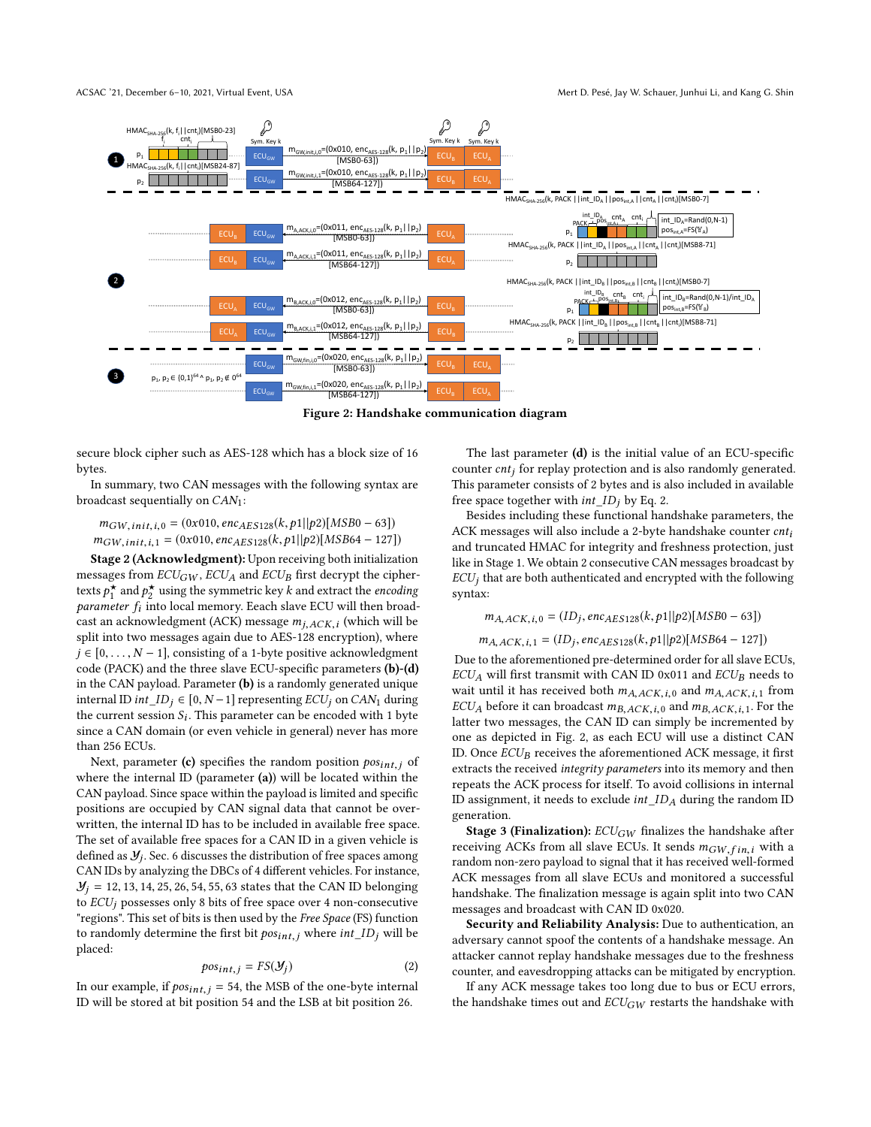<span id="page-5-0"></span>

Figure 2: Handshake communication diagram

secure block cipher such as AES-128 which has a block size of 16 bytes.

In summary, two CAN messages with the following syntax are broadcast sequentially on CAN1:

<span id="page-5-1"></span> $m_{GW,init,i,0} = (0x010, enc_{AES128}(k, p1||p2)[MSB0 - 63])$  $m_{GW,init,i,1} = (0x010, enc_{AES128}(k, p1||p2)[MSB64 - 127])$ 

Stage 2 (Acknowledgment): Upon receiving both initialization messages from  $ECU_{GW}$ ,  $ECU_{A}$  and  $ECU_{B}$  first decrypt the ciphertexts  $p^*$  and  $p^*$  using the symmetric key k and extract the encoding<br>parameter f, into local memory Eeach slave ECU will then broads *parameter*  $f_i$  into local memory. Eeach slave ECU will then broad-<br>cast an acknowledgment  $(ACK)$  message  $m_i$ ,  $QX$ , (which will be cast an acknowledgment (ACK) message  $m_{j,ACK,i}$  (which will be enlit into two messages again due to AES-128 encryption), where split into two messages again due to AES-128 encryption), where  $j \in [0, \ldots, N-1]$ , consisting of a 1-byte positive acknowledgment code (PACK) and the three slave ECU-specific parameters (b)-(d) in the CAN payload. Parameter (b) is a randomly generated unique internal ID *int*  $ID_i$  ∈ [0,  $N-1$ ] representing  $ECU_i$  on  $CAN_1$  during the current session  $S_i$ . This parameter can be encoded with 1 byte<br>since a CAN domain (or even vehicle in general) pever has more since a CAN domain (or even vehicle in general) never has more than 256 ECUs.

Next, parameter (c) specifies the random position  $pos_{int,j}$  of where the internal ID (parameter  $(a)$ ) will be located within the CAN payload. Since space within the payload is limited and specific positions are occupied by CAN signal data that cannot be overwritten, the internal ID has to be included in available free space. The set of available free spaces for a CAN ID in a given vehicle is defined as  $\mathcal{Y}_j$ . Sec. [6](#page-6-1) discusses the distribution of free spaces among CAN IDs by analyzing the DBCs of 4 different vehicles. For instance,  $\mathcal{Y}_i = 12, 13, 14, 25, 26, 54, 55, 63$  states that the CAN ID belonging to  $ECU_j$  possesses only 8 bits of free space over 4 non-consecutive "regions". This set of bits is then used by the Free Space (FS) function to randomly determine the first bit  $pos_{int,j}$  where  $int\_ID_j$  will be placed:

$$
pos_{int,j} = FS(\mathcal{Y}_j)
$$
 (2)

In our example, if  $pos_{int,j} = 54$ , the MSB of the one-byte internal<br>ID will be stored at hit position 54 and the USB at hit position 26 ID will be stored at bit position 54 and the LSB at bit position 26.

The last parameter (d) is the initial value of an ECU-specific counter  $cnt<sub>j</sub>$  for replay protection and is also randomly generated. This parameter consists of 2 bytes and is also included in available free space together with  $int\_ID_i$  by Eq. [2.](#page-5-1)

Besides including these functional handshake parameters, the ACK messages will also include a 2-byte handshake counter  $cnt<sub>i</sub>$ and truncated HMAC for integrity and freshness protection, just like in Stage 1. We obtain 2 consecutive CAN messages broadcast by  $ECU<sub>i</sub>$  that are both authenticated and encrypted with the following syntax:

$$
m_{A,ACK,i,0} = (ID_j, enc_{AES128}(k, p1||p2)[MSB0 - 63])
$$

$$
m_{A,ACK,i,1} = (ID_j, enc_{AES128}(k, p1||p2)[MSB64 - 127])
$$
  
Due to the aforementioned pre-determined order for all slave ECUs.

 $ECU_A$  will first transmit with CAN ID 0x011 and  $ECU_B$  needs to wait until it has received both  $m_{A,ACK,i,0}$  and  $m_{A,ACK,i,1}$  from  $ECU_A$  before it can broadcast  $m_{B,ACK,i,0}$  and  $m_{B,ACK,i,1}$ . For the latter two messages, the CAN ID can simply be incremented by one as depicted in Fig. [2,](#page-5-0) as each ECU will use a distinct CAN ID. Once  $ECU_B$  receives the aforementioned ACK message, it first extracts the received integrity parameters into its memory and then repeats the ACK process for itself. To avoid collisions in internal ID assignment, it needs to exclude  $int\_ID_A$  during the random ID generation.

**Stage 3 (Finalization):**  $ECU_{GW}$  finalizes the handshake after receiving ACKs from all slave ECUs. It sends  $m_{GW,fin,i}$  with a random non-zero payload to signal that it has received well-formed ACK messages from all slave ECUs and monitored a successful handshake. The finalization message is again split into two CAN messages and broadcast with CAN ID 0x020.

Security and Reliability Analysis: Due to authentication, an adversary cannot spoof the contents of a handshake message. An attacker cannot replay handshake messages due to the freshness counter, and eavesdropping attacks can be mitigated by encryption.

If any ACK message takes too long due to bus or ECU errors, the handshake times out and  $ECU_{GW}$  restarts the handshake with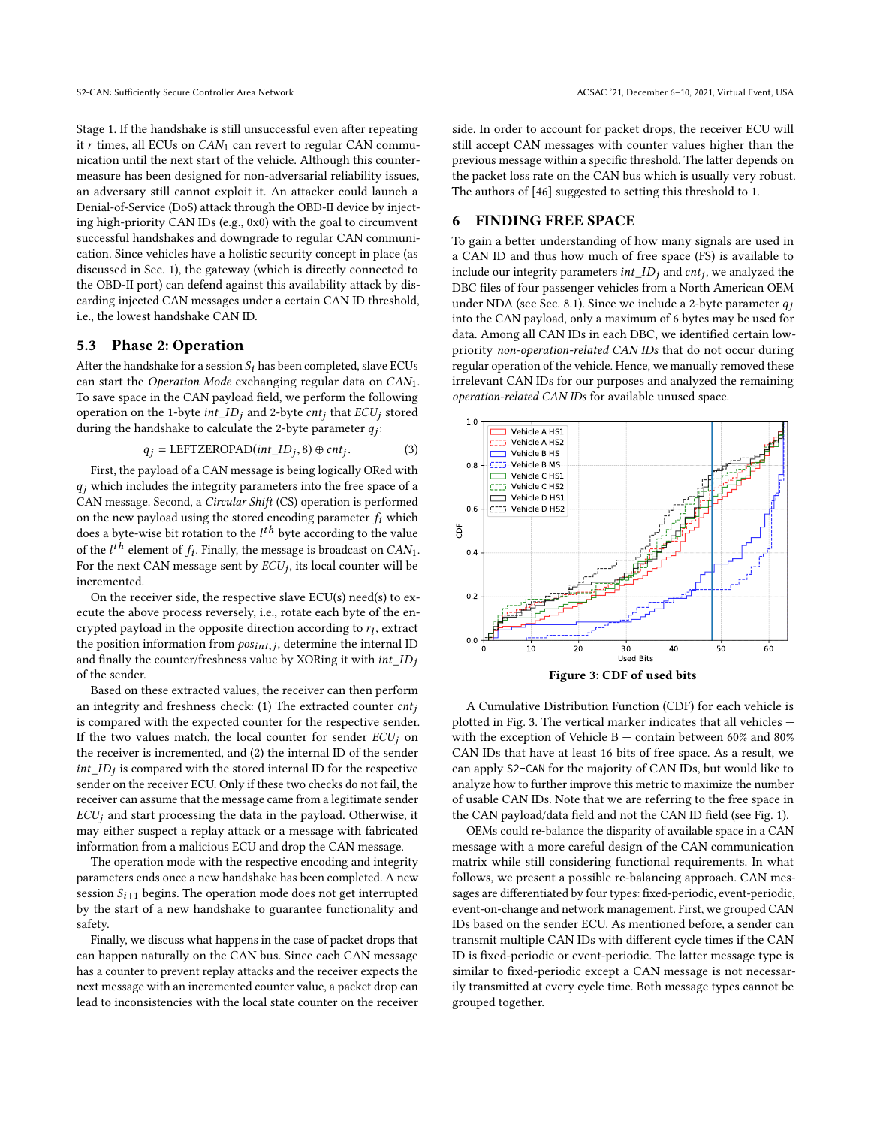Stage 1. If the handshake is still unsuccessful even after repeating it  $r$  times, all ECUs on  $CAN<sub>1</sub>$  can revert to regular CAN communication until the next start of the vehicle. Although this countermeasure has been designed for non-adversarial reliability issues, an adversary still cannot exploit it. An attacker could launch a Denial-of-Service (DoS) attack through the OBD-II device by injecting high-priority CAN IDs (e.g., 0x0) with the goal to circumvent successful handshakes and downgrade to regular CAN communication. Since vehicles have a holistic security concept in place (as discussed in Sec. [1\)](#page-0-0), the gateway (which is directly connected to the OBD-II port) can defend against this availability attack by discarding injected CAN messages under a certain CAN ID threshold, i.e., the lowest handshake CAN ID.

#### <span id="page-6-0"></span>5.3 Phase 2: Operation

After the handshake for a session  $S_i$  has been completed, slave ECUs can start the Operation Mode exchanging regular data on CAN1. To save space in the CAN payload field, we perform the following operation on the 1-byte int  $ID_i$  and 2-byte  $cnt_i$  that  $ECU_i$  stored during the handshake to calculate the 2-byte parameter  $q_j$ :

$$
q_j = \text{LEFTZEROPAD}(int\_ID_j, 8) \oplus \text{cnt}_j.
$$
 (3)  
First, the payload of a CAN message is being logically ORed with

 $q_i$  which includes the integrity parameters into the free space of a CAN message. Second, a Circular Shift (CS) operation is performed on the new payload using the stored encoding parameter  $f_i$  which does a byte-wise bit rotation to the  $l^{th}$  byte according to the value<br>of the *l<sup>th</sup>* algmant of f. Finally, the masses is broadgest on  $CAM$ of the  $l^{th}$  element of  $f_i$ . Finally, the message is broadcast on CAN<sub>1</sub>.<br>For the next CAN message sent by *ECU*, its local counter will be For the next CAN message sent by  $ECU_j$ , its local counter will be incremented incremented.

On the receiver side, the respective slave ECU(s) need(s) to execute the above process reversely, i.e., rotate each byte of the encrypted payload in the opposite direction according to  $r_l$ , extract<br>the position information from  $\cos \theta$ , and determine the internal ID the position information from  $pos_{int,j}$ , determine the internal ID<br>and finally the counter/freshness value by YORing it with *int*  $ID$ . and finally the counter/freshness value by XORing it with  $intID_i$ of the sender.

Based on these extracted values, the receiver can then perform an integrity and freshness check: (1) The extracted counter  $cnt<sub>i</sub>$ is compared with the expected counter for the respective sender. If the two values match, the local counter for sender  $ECU_i$  on the receiver is incremented, and (2) the internal ID of the sender  $int\_ID_j$  is compared with the stored internal ID for the respective<br>sender on the receiver  $ECI$  Only if these two checks do not fail, the sender on the receiver ECU. Only if these two checks do not fail, the receiver can assume that the message came from a legitimate sender  $ECU_j$  and start processing the data in the payload. Otherwise, it may either suspect a replay attack or a message with fabricated information from a malicious ECU and drop the CAN message.

The operation mode with the respective encoding and integrity parameters ends once a new handshake has been completed. A new session  $S_{i+1}$  begins. The operation mode does not get interrupted by the start of a new handshake to guarantee functionality and safety.

Finally, we discuss what happens in the case of packet drops that can happen naturally on the CAN bus. Since each CAN message has a counter to prevent replay attacks and the receiver expects the next message with an incremented counter value, a packet drop can lead to inconsistencies with the local state counter on the receiver side. In order to account for packet drops, the receiver ECU will still accept CAN messages with counter values higher than the previous message within a specific threshold. The latter depends on the packet loss rate on the CAN bus which is usually very robust. The authors of [\[46\]](#page-12-39) suggested to setting this threshold to 1.

## <span id="page-6-1"></span>6 FINDING FREE SPACE

To gain a better understanding of how many signals are used in a CAN ID and thus how much of free space (FS) is available to include our integrity parameters  $int\_ID_j$  and  $cnt_j$ , we analyzed the DBC files of four passenger vehicles from a North American OEM DBC files of four passenger vehicles from a North American OEM under NDA (see Sec. [8.1\)](#page-9-1). Since we include a 2-byte parameter  $q_i$ into the CAN payload, only a maximum of 6 bytes may be used for data. Among all CAN IDs in each DBC, we identified certain lowpriority non-operation-related CAN IDs that do not occur during regular operation of the vehicle. Hence, we manually removed these irrelevant CAN IDs for our purposes and analyzed the remaining operation-related CAN IDs for available unused space.

<span id="page-6-2"></span>

A Cumulative Distribution Function (CDF) for each vehicle is plotted in Fig. [3.](#page-6-2) The vertical marker indicates that all vehicles with the exception of Vehicle  $B -$  contain between 60% and 80% CAN IDs that have at least 16 bits of free space. As a result, we can apply S2-CAN for the majority of CAN IDs, but would like to analyze how to further improve this metric to maximize the number of usable CAN IDs. Note that we are referring to the free space in the CAN payload/data field and not the CAN ID field (see Fig. [1\)](#page-2-1).

OEMs could re-balance the disparity of available space in a CAN message with a more careful design of the CAN communication matrix while still considering functional requirements. In what follows, we present a possible re-balancing approach. CAN messages are differentiated by four types: fixed-periodic, event-periodic, event-on-change and network management. First, we grouped CAN IDs based on the sender ECU. As mentioned before, a sender can transmit multiple CAN IDs with different cycle times if the CAN ID is fixed-periodic or event-periodic. The latter message type is similar to fixed-periodic except a CAN message is not necessarily transmitted at every cycle time. Both message types cannot be grouped together.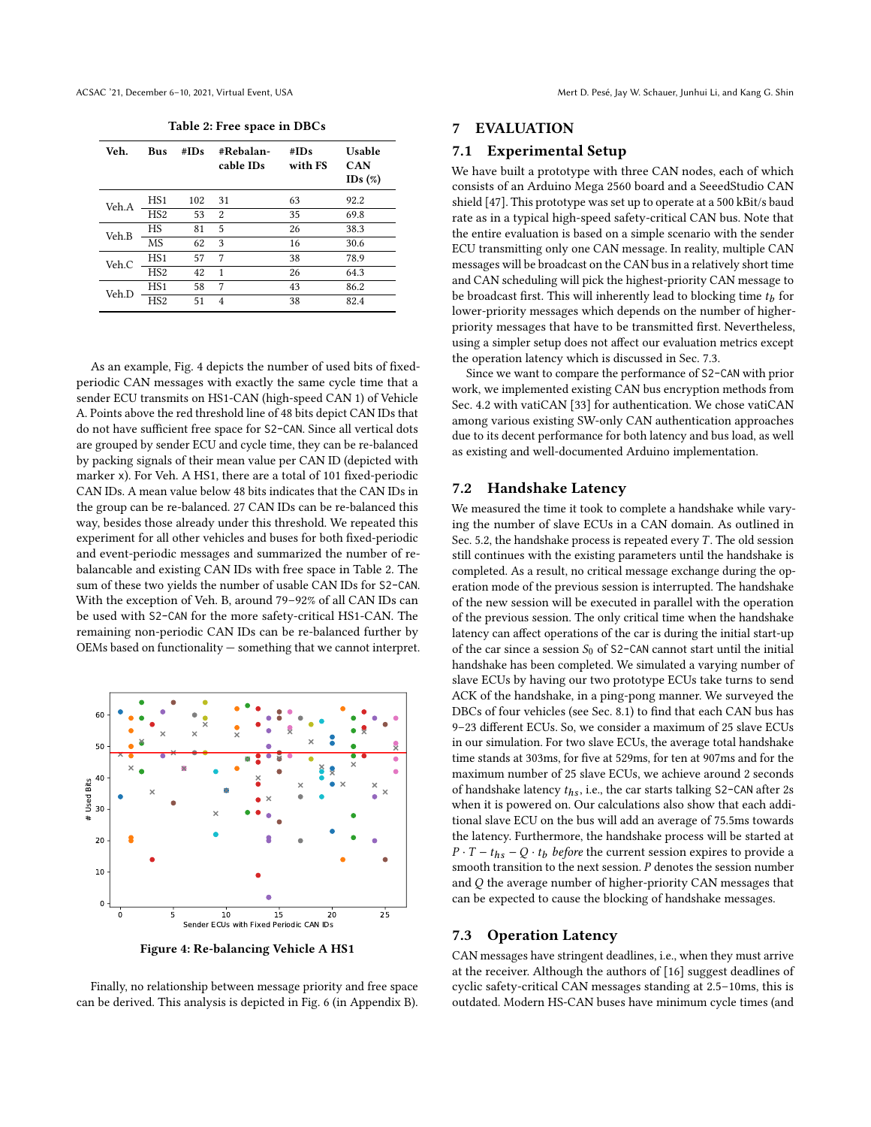<span id="page-7-2"></span>

| Veh.  | Bus             | #IDs | #Rebalan-<br>cable IDs | #IDs<br>with FS | Usable<br><b>CAN</b><br>IDs $(\%)$ |
|-------|-----------------|------|------------------------|-----------------|------------------------------------|
|       |                 |      |                        |                 |                                    |
| Veh.A | HS <sub>1</sub> | 102  | 31                     | 63              | 92.2                               |
|       | HS <sub>2</sub> | 53   | 2                      | 35              | 69.8                               |
| Veh.B | HS              | 81   | 5                      | 26              | 38.3                               |
|       | <b>MS</b>       | 62   | 3                      | 16              | 30.6                               |
| Veh.C | HS <sub>1</sub> | 57   | 7                      | 38              | 78.9                               |
|       | HS <sub>2</sub> | 42   | 1                      | 26              | 64.3                               |
| Veh.D | HS <sub>1</sub> | 58   | 7                      | 43              | 86.2                               |
|       | HS <sub>2</sub> | 51   | $\overline{4}$         | 38              | 82.4                               |
|       |                 |      |                        |                 |                                    |

Table 2: Free space in DBCs

As an example, Fig. [4](#page-7-1) depicts the number of used bits of fixedperiodic CAN messages with exactly the same cycle time that a sender ECU transmits on HS1-CAN (high-speed CAN 1) of Vehicle A. Points above the red threshold line of 48 bits depict CAN IDs that do not have sufficient free space for S2-CAN. Since all vertical dots are grouped by sender ECU and cycle time, they can be re-balanced by packing signals of their mean value per CAN ID (depicted with marker x). For Veh. A HS1, there are a total of 101 fixed-periodic CAN IDs. A mean value below 48 bits indicates that the CAN IDs in the group can be re-balanced. 27 CAN IDs can be re-balanced this way, besides those already under this threshold. We repeated this experiment for all other vehicles and buses for both fixed-periodic and event-periodic messages and summarized the number of rebalancable and existing CAN IDs with free space in Table [2.](#page-7-2) The sum of these two yields the number of usable CAN IDs for S2-CAN. With the exception of Veh. B, around 79–92% of all CAN IDs can be used with S2-CAN for the more safety-critical HS1-CAN. The remaining non-periodic CAN IDs can be re-balanced further by OEMs based on functionality — something that we cannot interpret.

<span id="page-7-1"></span>

Figure 4: Re-balancing Vehicle A HS1

Finally, no relationship between message priority and free space can be derived. This analysis is depicted in Fig. [6](#page-13-1) (in Appendix [B\)](#page-13-2).

### <span id="page-7-0"></span>7 EVALUATION

#### 7.1 Experimental Setup

We have built a prototype with three CAN nodes, each of which consists of an Arduino Mega 2560 board and a SeeedStudio CAN shield [\[47\]](#page-12-22). This prototype was set up to operate at a 500 kBit/s baud rate as in a typical high-speed safety-critical CAN bus. Note that the entire evaluation is based on a simple scenario with the sender ECU transmitting only one CAN message. In reality, multiple CAN messages will be broadcast on the CAN bus in a relatively short time and CAN scheduling will pick the highest-priority CAN message to be broadcast first. This will inherently lead to blocking time  $t_b$  for lower-priority messages which depends on the number of bigherlower-priority messages which depends on the number of higherpriority messages that have to be transmitted first. Nevertheless, using a simpler setup does not affect our evaluation metrics except the operation latency which is discussed in Sec. [7.3.](#page-7-3)

Since we want to compare the performance of S2-CAN with prior work, we implemented existing CAN bus encryption methods from Sec. [4.2](#page-3-2) with vatiCAN [\[33\]](#page-12-11) for authentication. We chose vatiCAN among various existing SW-only CAN authentication approaches due to its decent performance for both latency and bus load, as well as existing and well-documented Arduino implementation.

#### 7.2 Handshake Latency

We measured the time it took to complete a handshake while varying the number of slave ECUs in a CAN domain. As outlined in Sec. [5.2,](#page-4-0) the handshake process is repeated every  $T$ . The old session still continues with the existing parameters until the handshake is completed. As a result, no critical message exchange during the operation mode of the previous session is interrupted. The handshake of the new session will be executed in parallel with the operation of the previous session. The only critical time when the handshake latency can affect operations of the car is during the initial start-up of the car since a session  $S_0$  of S2-CAN cannot start until the initial handshake has been completed. We simulated a varying number of slave ECUs by having our two prototype ECUs take turns to send ACK of the handshake, in a ping-pong manner. We surveyed the DBCs of four vehicles (see Sec. [8.1\)](#page-9-1) to find that each CAN bus has 9–23 different ECUs. So, we consider a maximum of 25 slave ECUs in our simulation. For two slave ECUs, the average total handshake time stands at 303ms, for five at 529ms, for ten at 907ms and for the maximum number of 25 slave ECUs, we achieve around 2 seconds of handshake latency  $t_{hs}$  , i.e., the car starts talking S2–CAN after 2s  $\,$ when it is powered on. Our calculations also show that each additional slave ECU on the bus will add an average of 75.5ms towards the latency. Furthermore, the handshake process will be started at  $P \cdot T - t_{hs} - Q \cdot t_b$  before the current session expires to provide a smooth transition to the next session. P denotes the session number and Q the average number of higher-priority CAN messages that can be expected to cause the blocking of handshake messages.

#### <span id="page-7-3"></span>7.3 Operation Latency

CAN messages have stringent deadlines, i.e., when they must arrive at the receiver. Although the authors of [\[16\]](#page-12-17) suggest deadlines of cyclic safety-critical CAN messages standing at 2.5–10ms, this is outdated. Modern HS-CAN buses have minimum cycle times (and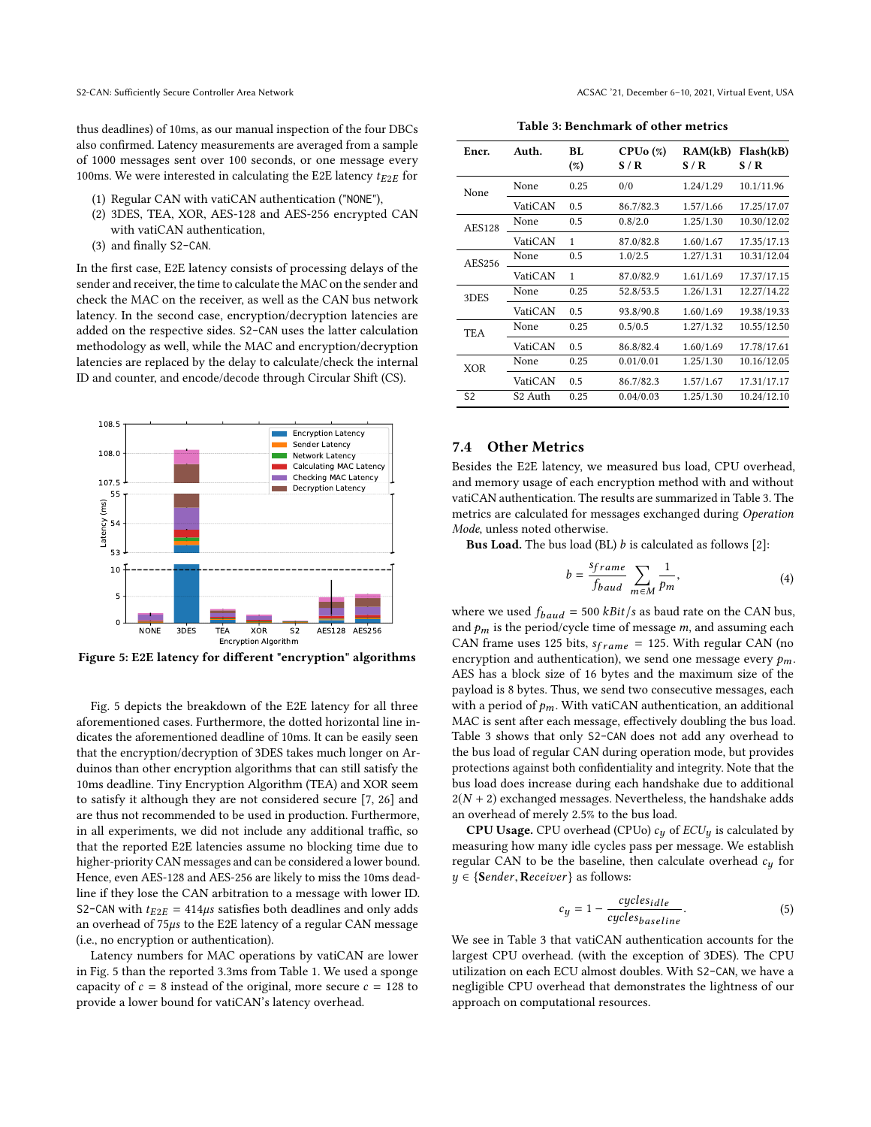thus deadlines) of 10ms, as our manual inspection of the four DBCs also confirmed. Latency measurements are averaged from a sample of 1000 messages sent over 100 seconds, or one message every 100ms. We were interested in calculating the E2E latency  $t_{E2E}$  for

- (1) Regular CAN with vatiCAN authentication ("NONE"),
- (2) 3DES, TEA, XOR, AES-128 and AES-256 encrypted CAN with vatiCAN authentication,
- (3) and finally S2-CAN.

In the first case, E2E latency consists of processing delays of the sender and receiver, the time to calculate the MAC on the sender and check the MAC on the receiver, as well as the CAN bus network latency. In the second case, encryption/decryption latencies are added on the respective sides. S2-CAN uses the latter calculation methodology as well, while the MAC and encryption/decryption latencies are replaced by the delay to calculate/check the internal ID and counter, and encode/decode through Circular Shift (CS).

<span id="page-8-0"></span>

Figure 5: E2E latency for different "encryption" algorithms

Fig. [5](#page-8-0) depicts the breakdown of the E2E latency for all three aforementioned cases. Furthermore, the dotted horizontal line indicates the aforementioned deadline of 10ms. It can be easily seen that the encryption/decryption of 3DES takes much longer on Arduinos than other encryption algorithms that can still satisfy the 10ms deadline. Tiny Encryption Algorithm (TEA) and XOR seem to satisfy it although they are not considered secure [\[7,](#page-12-40) [26\]](#page-12-41) and are thus not recommended to be used in production. Furthermore, in all experiments, we did not include any additional traffic, so that the reported E2E latencies assume no blocking time due to higher-priority CAN messages and can be considered a lower bound. Hence, even AES-128 and AES-256 are likely to miss the 10ms deadline if they lose the CAN arbitration to a message with lower ID. S2-CAN with  $t_{E2E} = 414\mu s$  satisfies both deadlines and only adds an overhead of <sup>75</sup>µs to the E2E latency of a regular CAN message (i.e., no encryption or authentication).

Latency numbers for MAC operations by vatiCAN are lower in Fig. [5](#page-8-0) than the reported 3.3ms from Table [1.](#page-1-0) We used a sponge capacity of  $c = 8$  instead of the original, more secure  $c = 128$  to provide a lower bound for vatiCAN's latency overhead.

S2-CAN: Sufficiently Secure Controller Area Network ACSAC '21, December 6–10, 2021, Virtual Event, USA

Table 3: Benchmark of other metrics

<span id="page-8-1"></span>

| Encr.          | Auth.       | BL.<br>(%) | $CPUo (\%)$<br>S/R | RAM(kB)<br>S/R | Flash(kB)<br>S/R |
|----------------|-------------|------------|--------------------|----------------|------------------|
| None           | None        | 0.25       | 0/0                | 1.24/1.29      | 10.1/11.96       |
|                | VatiCAN     | 0.5        | 86.7/82.3          | 1.57/1.66      | 17.25/17.07      |
| <b>AES128</b>  | None        | 0.5        | 0.8/2.0            | 1.25/1.30      | 10.30/12.02      |
|                | VatiCAN     | 1          | 87.0/82.8          | 1.60/1.67      | 17.35/17.13      |
| AES256         | <b>None</b> | 0.5        | 1.0/2.5            | 1.27/1.31      | 10.31/12.04      |
|                | VatiCAN     | 1          | 87.0/82.9          | 1.61/1.69      | 17.37/17.15      |
| 3DES           | None        | 0.25       | 52.8/53.5          | 1.26/1.31      | 12.27/14.22      |
|                | VatiCAN     | 0.5        | 93.8/90.8          | 1.60/1.69      | 19.38/19.33      |
| <b>TEA</b>     | None        | 0.25       | 0.5/0.5            | 1.27/1.32      | 10.55/12.50      |
|                | VatiCAN     | 0.5        | 86.8/82.4          | 1.60/1.69      | 17.78/17.61      |
| <b>XOR</b>     | None        | 0.25       | 0.01/0.01          | 1.25/1.30      | 10.16/12.05      |
|                | VatiCAN     | 0.5        | 86.7/82.3          | 1.57/1.67      | 17.31/17.17      |
| S <sub>2</sub> | S2 Auth     | 0.25       | 0.04/0.03          | 1.25/1.30      | 10.24/12.10      |

## 7.4 Other Metrics

Besides the E2E latency, we measured bus load, CPU overhead, and memory usage of each encryption method with and without vatiCAN authentication. The results are summarized in Table [3.](#page-8-1) The metrics are calculated for messages exchanged during Operation Mode, unless noted otherwise.

**Bus Load.** The bus load (BL)  $b$  is calculated as follows [\[2\]](#page-12-42):

$$
b = \frac{sframe}{fbaud} \sum_{m \in M} \frac{1}{p_m},\tag{4}
$$

where we used  $f_{baud} = 500$  *kBit/s* as baud rate on the CAN bus, and  $p_m$  is the period/cycle time of message  $m$ , and assuming each CAN frame uses 125 bits,  $s_{frame} = 125$ . With regular CAN (no encryption and authentication), we send one message every  $p_m$ . AES has a block size of 16 bytes and the maximum size of the payload is 8 bytes. Thus, we send two consecutive messages, each with a period of  $p_m$ . With vatiCAN authentication, an additional MAC is sent after each message, effectively doubling the bus load. Table [3](#page-8-1) shows that only S2-CAN does not add any overhead to the bus load of regular CAN during operation mode, but provides protections against both confidentiality and integrity. Note that the bus load does increase during each handshake due to additional  $2(N + 2)$  exchanged messages. Nevertheless, the handshake adds an overhead of merely 2.5% to the bus load.

**CPU Usage.** CPU overhead (CPUo)  $c_y$  of  $ECU_y$  is calculated by measuring how many idle cycles pass per message. We establish regular CAN to be the baseline, then calculate overhead  $c_y$  for  $y \in \{\text{Sender}, \text{Receiver}\}$  as follows:

$$
c_y = 1 - \frac{cycles_{idle}}{cycles_{baseline}}.\tag{5}
$$

We see in Table [3](#page-8-1) that vatiCAN authentication accounts for the largest CPU overhead. (with the exception of 3DES). The CPU utilization on each ECU almost doubles. With S2-CAN, we have a negligible CPU overhead that demonstrates the lightness of our approach on computational resources.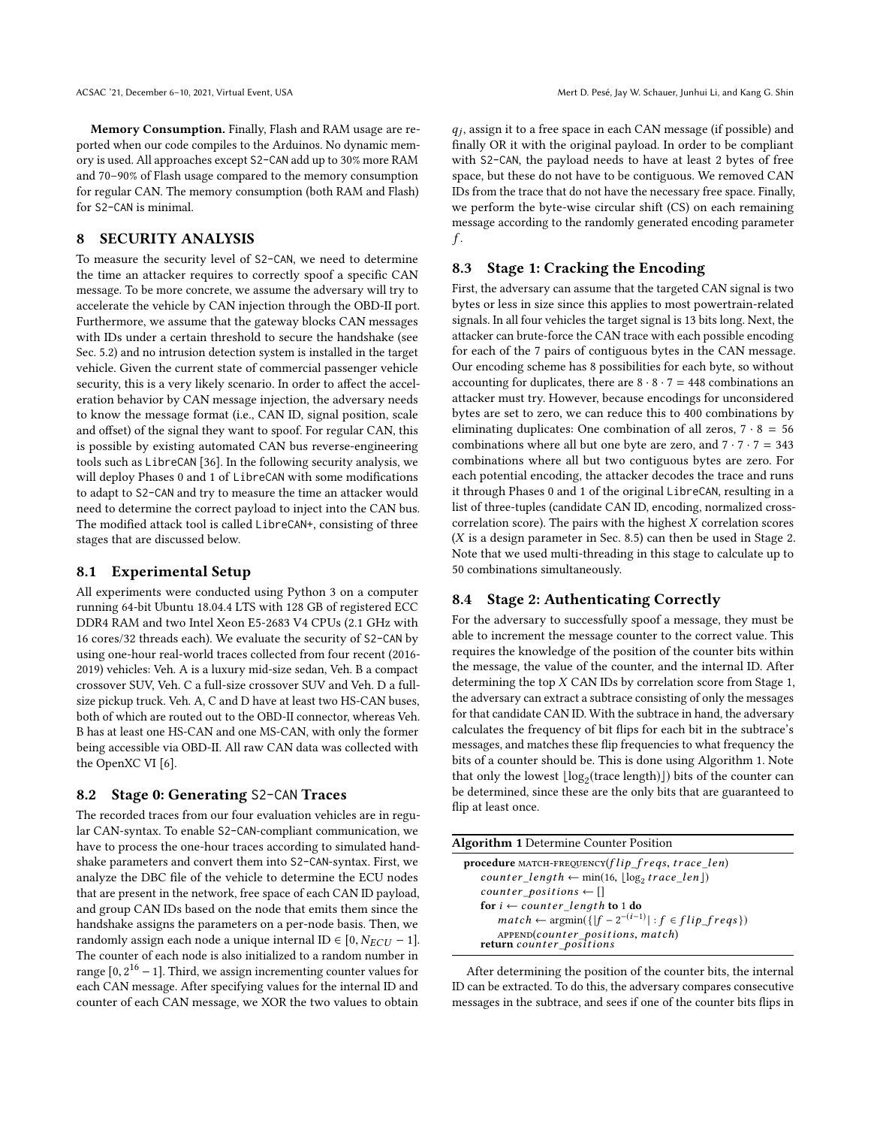Memory Consumption. Finally, Flash and RAM usage are reported when our code compiles to the Arduinos. No dynamic memory is used. All approaches except S2-CAN add up to 30% more RAM and 70–90% of Flash usage compared to the memory consumption for regular CAN. The memory consumption (both RAM and Flash) for S2-CAN is minimal.

# <span id="page-9-0"></span>8 SECURITY ANALYSIS

To measure the security level of S2-CAN, we need to determine the time an attacker requires to correctly spoof a specific CAN message. To be more concrete, we assume the adversary will try to accelerate the vehicle by CAN injection through the OBD-II port. Furthermore, we assume that the gateway blocks CAN messages with IDs under a certain threshold to secure the handshake (see Sec. [5.2\)](#page-4-0) and no intrusion detection system is installed in the target vehicle. Given the current state of commercial passenger vehicle security, this is a very likely scenario. In order to affect the acceleration behavior by CAN message injection, the adversary needs to know the message format (i.e., CAN ID, signal position, scale and offset) of the signal they want to spoof. For regular CAN, this is possible by existing automated CAN bus reverse-engineering tools such as LibreCAN [\[36\]](#page-12-7). In the following security analysis, we will deploy Phases 0 and 1 of LibreCAN with some modifications to adapt to S2-CAN and try to measure the time an attacker would need to determine the correct payload to inject into the CAN bus. The modified attack tool is called LibreCAN+, consisting of three stages that are discussed below.

## <span id="page-9-1"></span>8.1 Experimental Setup

All experiments were conducted using Python 3 on a computer running 64-bit Ubuntu 18.04.4 LTS with 128 GB of registered ECC DDR4 RAM and two Intel Xeon E5-2683 V4 CPUs (2.1 GHz with 16 cores/32 threads each). We evaluate the security of S2-CAN by using one-hour real-world traces collected from four recent (2016- 2019) vehicles: Veh. A is a luxury mid-size sedan, Veh. B a compact crossover SUV, Veh. C a full-size crossover SUV and Veh. D a fullsize pickup truck. Veh. A, C and D have at least two HS-CAN buses, both of which are routed out to the OBD-II connector, whereas Veh. B has at least one HS-CAN and one MS-CAN, with only the former being accessible via OBD-II. All raw CAN data was collected with the OpenXC VI [\[6\]](#page-12-23).

#### 8.2 Stage 0: Generating S2-CAN Traces

The recorded traces from our four evaluation vehicles are in regular CAN-syntax. To enable S2-CAN-compliant communication, we have to process the one-hour traces according to simulated handshake parameters and convert them into S2-CAN-syntax. First, we analyze the DBC file of the vehicle to determine the ECU nodes that are present in the network, free space of each CAN ID payload, and group CAN IDs based on the node that emits them since the handshake assigns the parameters on a per-node basis. Then, we randomly assign each node a unique internal ID  $\in$  [0,  $N_{ECU}$  – 1]. The counter of each node is also initialized to a random number in range  $[0, 2^{16} - 1]$ . Third, we assign incrementing counter values for each  $CAN$  message. After specifying values for the internal ID and each CAN message. After specifying values for the internal ID and counter of each CAN message, we XOR the two values to obtain

 $q_j$ , assign it to a free space in each CAN message (if possible) and<br>finally OR it with the original payload. In order to be compliant  $q_i$ , assign it to a free space in each CAN message (if possible) and with S2-CAN, the payload needs to have at least 2 bytes of free space, but these do not have to be contiguous. We removed CAN IDs from the trace that do not have the necessary free space. Finally, we perform the byte-wise circular shift (CS) on each remaining message according to the randomly generated encoding parameter f .

## 8.3 Stage 1: Cracking the Encoding

First, the adversary can assume that the targeted CAN signal is two bytes or less in size since this applies to most powertrain-related signals. In all four vehicles the target signal is 13 bits long. Next, the attacker can brute-force the CAN trace with each possible encoding for each of the 7 pairs of contiguous bytes in the CAN message. Our encoding scheme has 8 possibilities for each byte, so without accounting for duplicates, there are  $8 \cdot 8 \cdot 7 = 448$  combinations an attacker must try. However, because encodings for unconsidered bytes are set to zero, we can reduce this to 400 combinations by eliminating duplicates: One combination of all zeros,  $7 \cdot 8 = 56$ combinations where all but one byte are zero, and  $7 \cdot 7 \cdot 7 = 343$ combinations where all but two contiguous bytes are zero. For each potential encoding, the attacker decodes the trace and runs it through Phases 0 and 1 of the original LibreCAN, resulting in a list of three-tuples (candidate CAN ID, encoding, normalized crosscorrelation score). The pairs with the highest  $X$  correlation scores  $(X$  is a design parameter in Sec. [8.5\)](#page-10-0) can then be used in Stage 2. Note that we used multi-threading in this stage to calculate up to 50 combinations simultaneously.

## 8.4 Stage 2: Authenticating Correctly

For the adversary to successfully spoof a message, they must be able to increment the message counter to the correct value. This requires the knowledge of the position of the counter bits within the message, the value of the counter, and the internal ID. After determining the top  $X$  CAN IDs by correlation score from Stage 1, the adversary can extract a subtrace consisting of only the messages for that candidate CAN ID. With the subtrace in hand, the adversary calculates the frequency of bit flips for each bit in the subtrace's messages, and matches these flip frequencies to what frequency the bits of a counter should be. This is done using Algorithm [1.](#page-9-2) Note that only the lowest  $\lfloor \log_2(\text{trace length}) \rfloor$ ) bits of the counter can be determined, since these are the only bits that are guaranteed to flip at least once.

<span id="page-9-2"></span>

| <b>Algorithm 1</b> Determine Counter Position                                     |  |
|-----------------------------------------------------------------------------------|--|
| procedure MATCH-FREQUENCY( $flip$ freqs, trace len)                               |  |
| $counter\_length \leftarrow min(16, \lfloor \log_2 trace\_len \rfloor)$           |  |
| $counter\_positions \leftarrow []$                                                |  |
| for $i \leftarrow counter_length$ to 1 do                                         |  |
| $match \leftarrow \text{argmin}(\{ f - 2^{-(i-1)}  : f \in flip \text{ fregs}\})$ |  |
| APPEND(counter_positions, match)<br>return counter_positions                      |  |

After determining the position of the counter bits, the internal ID can be extracted. To do this, the adversary compares consecutive messages in the subtrace, and sees if one of the counter bits flips in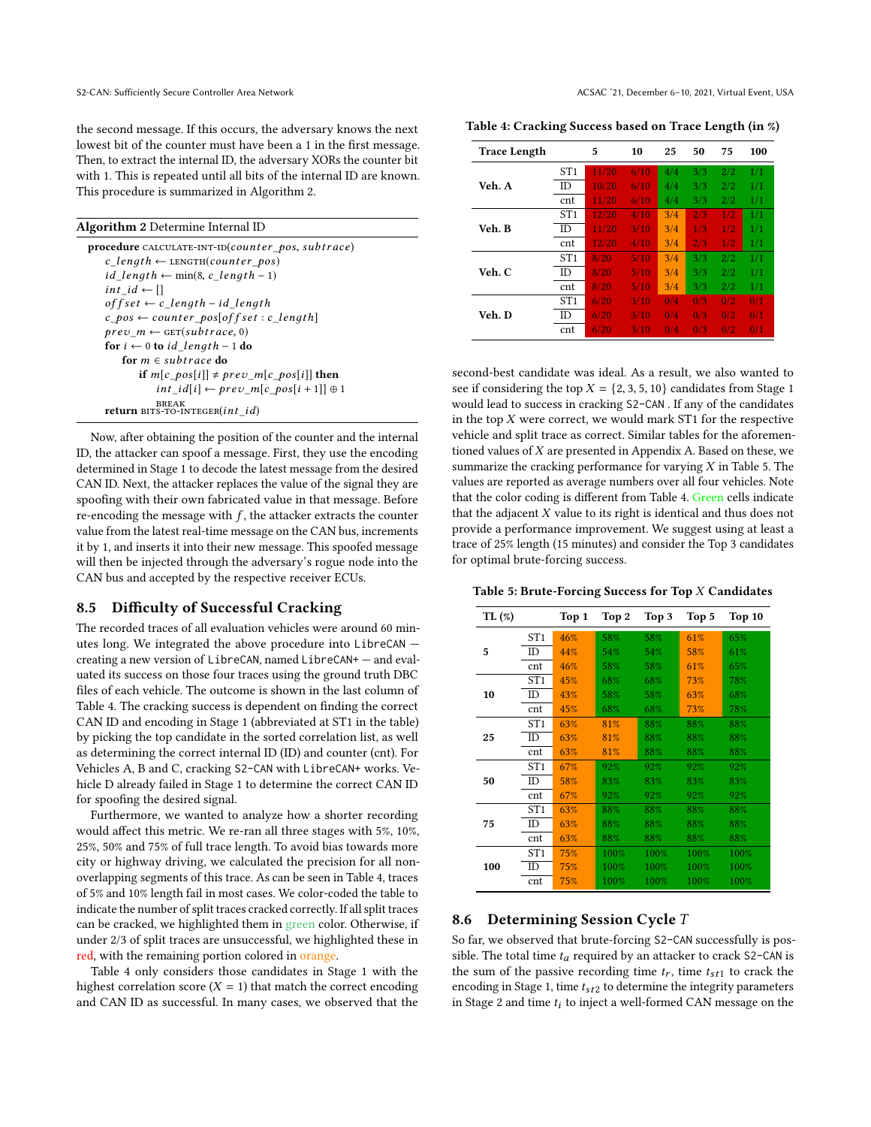the second message. If this occurs, the adversary knows the next lowest bit of the counter must have been a 1 in the first message. Then, to extract the internal ID, the adversary XORs the counter bit with 1. This is repeated until all bits of the internal ID are known. This procedure is summarized in Algorithm [2.](#page-10-1)

#### <span id="page-10-1"></span>Algorithm 2 Determine Internal ID

procedure CALCULATE-INT-ID(counter\_pos, subtrace)  $c$ *\_length*  $\leftarrow$  LENGTH(*counter\_pos*)  $id\_length$  ← min(8, c\_length – 1)  $int_id \leftarrow []$  $offset \leftarrow c\_length - id\_length$  $c_p$ os  $\leftarrow$  counter\_pos[off set : c\_length]  $prev\_m \leftarrow \text{GET}(subtrace, 0)$ for  $i \leftarrow 0$  to id length – 1 do for  $m \in subtract$  do if  $m[c\_pos[i]] \neq prev\_m[c\_pos[i]]$  then  $int\_id[i] \leftarrow prev\_m[c\_pos[i+1]] \oplus 1$ BREAK<br>**return** BITS-TO-INTEGER(*int\_id*)

Now, after obtaining the position of the counter and the internal ID, the attacker can spoof a message. First, they use the encoding determined in Stage 1 to decode the latest message from the desired CAN ID. Next, the attacker replaces the value of the signal they are spoofing with their own fabricated value in that message. Before re-encoding the message with  $f$ , the attacker extracts the counter value from the latest real-time message on the CAN bus, increments it by 1, and inserts it into their new message. This spoofed message will then be injected through the adversary's rogue node into the CAN bus and accepted by the respective receiver ECUs.

#### <span id="page-10-0"></span>8.5 Difficulty of Successful Cracking

The recorded traces of all evaluation vehicles were around 60 minutes long. We integrated the above procedure into LibreCAN creating a new version of LibreCAN, named LibreCAN+ — and evaluated its success on those four traces using the ground truth DBC files of each vehicle. The outcome is shown in the last column of Table [4.](#page-10-2) The cracking success is dependent on finding the correct CAN ID and encoding in Stage 1 (abbreviated at ST1 in the table) by picking the top candidate in the sorted correlation list, as well as determining the correct internal ID (ID) and counter (cnt). For Vehicles A, B and C, cracking S2-CAN with LibreCAN+ works. Vehicle D already failed in Stage 1 to determine the correct CAN ID for spoofing the desired signal.

Furthermore, we wanted to analyze how a shorter recording would affect this metric. We re-ran all three stages with 5%, 10%, 25%, 50% and 75% of full trace length. To avoid bias towards more city or highway driving, we calculated the precision for all nonoverlapping segments of this trace. As can be seen in Table [4,](#page-10-2) traces of 5% and 10% length fail in most cases. We color-coded the table to indicate the number of split traces cracked correctly. If all split traces can be cracked, we highlighted them in green color. Otherwise, if under 2/3 of split traces are unsuccessful, we highlighted these in red, with the remaining portion colored in orange.

Table [4](#page-10-2) only considers those candidates in Stage 1 with the highest correlation score  $(X = 1)$  that match the correct encoding and CAN ID as successful. In many cases, we observed that the

S2-CAN: Sufficiently Secure Controller Area Network ACSAC '21, December 6–10, 2021, Virtual Event, USA

<span id="page-10-2"></span>Table 4: Cracking Success based on Trace Length (in %)

| <b>Trace Length</b> |     | 5     | 10   | 25  | 50  | 75  | 100 |
|---------------------|-----|-------|------|-----|-----|-----|-----|
|                     | ST1 | 11/20 | 6/10 | 4/4 | 3/3 | 2/2 | 1/1 |
| Veh. A              | ID  | 10/20 | 6/10 | 4/4 | 3/3 | 2/2 | 1/1 |
|                     | cnt | 11/20 | 6/10 | 4/4 | 3/3 | 2/2 | 1/1 |
|                     | ST1 | 12/20 | 4/10 | 3/4 | 2/3 | 1/2 | 1/1 |
| Veh. B              | ID  | 11/20 | 3/10 | 3/4 | 1/3 | 1/2 | 1/1 |
|                     | cnt | 12/20 | 4/10 | 3/4 | 2/3 | 1/2 | 1/1 |
|                     | ST1 | 8/20  | 5/10 | 3/4 | 3/3 | 2/2 | 1/1 |
| Veh. C              | ID  | 8/20  | 5/10 | 3/4 | 3/3 | 2/2 | 1/1 |
|                     | cnt | 8/20  | 5/10 | 3/4 | 3/3 | 2/2 | 1/1 |
|                     | ST1 | 6/20  | 3/10 | 0/4 | 0/3 | 0/2 | 0/1 |
| Veh. D              | ID  | 6/20  | 3/10 | 0/4 | 0/3 | 0/2 | 0/1 |
|                     | cnt | 6/20  | 3/10 | 0/4 | 0/3 | 0/2 | 0/1 |

second-best candidate was ideal. As a result, we also wanted to see if considering the top  $X = \{2, 3, 5, 10\}$  candidates from Stage 1 would lead to success in cracking S2-CAN . If any of the candidates in the top  $X$  were correct, we would mark ST1 for the respective vehicle and split trace as correct. Similar tables for the aforementioned values of  $X$  are presented in Appendix [A.](#page-13-3) Based on these, we summarize the cracking performance for varying  $X$  in Table [5.](#page-10-3) The values are reported as average numbers over all four vehicles. Note that the color coding is different from Table [4.](#page-10-2) Green cells indicate that the adjacent  $X$  value to its right is identical and thus does not provide a performance improvement. We suggest using at least a trace of 25% length (15 minutes) and consider the Top 3 candidates for optimal brute-forcing success.

<span id="page-10-3"></span>Table 5: Brute-Forcing Success for Top  $X$  Candidates

| TL(%) |           | Top 1 | Top 2 | Top 3 | Top 5 | Top 10 |
|-------|-----------|-------|-------|-------|-------|--------|
|       | ST1       | 46%   | 58%   | 58%   | 61%   | 65%    |
| 5     | <b>ID</b> | 44%   | 54%   | 54%   | 58%   | 61%    |
|       | cnt       | 46%   | 58%   | 58%   | 61%   | 65%    |
|       | ST1       | 45%   | 68%   | 68%   | 73%   | 78%    |
| 10    | ID        | 43%   | 58%   | 58%   | 63%   | 68%    |
|       | cnt       | 45%   | 68%   | 68%   | 73%   | 78%    |
|       | ST1       | 63%   | 81%   | 88%   | 88%   | 88%    |
| 25    | <b>ID</b> | 63%   | 81%   | 88%   | 88%   | 88%    |
|       | cnt       | 63%   | 81%   | 88%   | 88%   | 88%    |
|       | ST1       | 67%   | 92%   | 92%   | 92%   | 92%    |
| 50    | ID        | 58%   | 83%   | 83%   | 83%   | 83%    |
|       | cnt       | 67%   | 92%   | 92%   | 92%   | 92%    |
|       | ST1       | 63%   | 88%   | 88%   | 88%   | 88%    |
| 75    | ID        | 63%   | 88%   | 88%   | 88%   | 88%    |
|       | cnt       | 63%   | 88%   | 88%   | 88%   | 88%    |
|       | ST1       | 75%   | 100%  | 100%  | 100%  | 100%   |
| 100   | ID        | 75%   | 100%  | 100%  | 100%  | 100%   |
|       | cnt       | 75%   | 100%  | 100%  | 100%  | 100%   |

## 8.6 Determining Session Cycle T

So far, we observed that brute-forcing S2-CAN successfully is possible. The total time  $t_a$  required by an attacker to crack S2-CAN is the sum of the passive recording time  $t_r$ , time  $t_{st1}$  to crack the encoding in Stage 1, time  $t_{st2}$  to determine the integrity parameters in Stage 2 and time  $t_i$  to inject a well-formed CAN message on the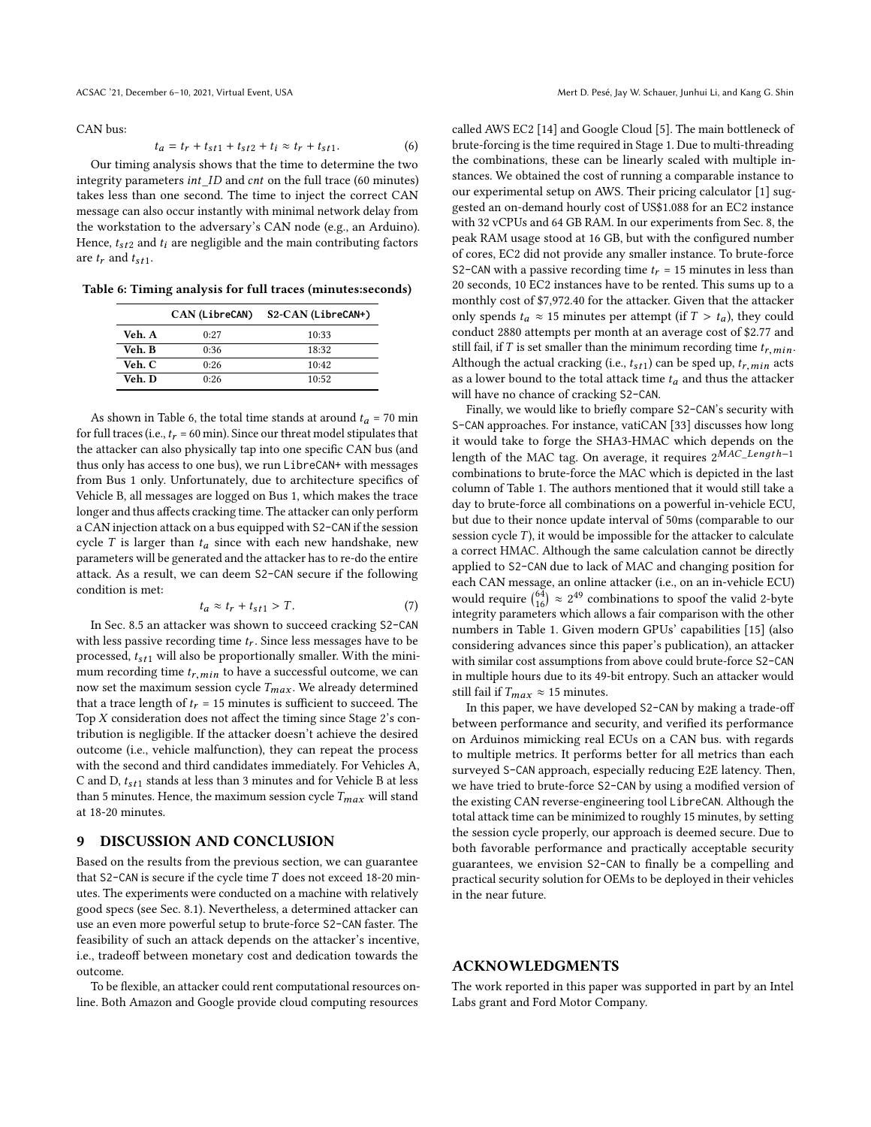CAN bus:

$$
t_a = t_r + t_{st1} + t_{st2} + t_i \approx t_r + t_{st1}.
$$
 (6)  
Our timing analysis shows that the time to determine the two

integrity parameters int\_ID and cnt on the full trace (60 minutes) takes less than one second. The time to inject the correct CAN message can also occur instantly with minimal network delay from the workstation to the adversary's CAN node (e.g., an Arduino). Hence,  $t_{st2}$  and  $t_i$  are negligible and the main contributing factors are  $t_r$  and  $t_{st1}$ .

<span id="page-11-1"></span>Table 6: Timing analysis for full traces (minutes:seconds)

|        | CAN (LibreCAN) | S2-CAN (LibreCAN+) |
|--------|----------------|--------------------|
| Veh. A | 0:27           | 10:33              |
| Veh. B | 0:36           | 18:32              |
| Veh. C | 0:26           | 10:42              |
| Veh. D | 0:26           | 10:52              |

As shown in Table [6,](#page-11-1) the total time stands at around  $t_a$  = 70 min for full traces (i.e.,  $t_r$  = 60 min). Since our threat model stipulates that the attacker can also physically tap into one specific CAN bus (and thus only has access to one bus), we run LibreCAN+ with messages from Bus 1 only. Unfortunately, due to architecture specifics of Vehicle B, all messages are logged on Bus 1, which makes the trace longer and thus affects cracking time. The attacker can only perform a CAN injection attack on a bus equipped with S2-CAN if the session cycle T is larger than  $t_a$  since with each new handshake, new parameters will be generated and the attacker has to re-do the entire attack. As a result, we can deem S2-CAN secure if the following condition is met:

$$
t_a \approx t_r + t_{st1} > T. \tag{7}
$$

 $t_a \approx t_r + t_{st1} > T.$ <br>In Sec. [8.5](#page-10-0) an attacker was shown to succeed cracking S2-CAN with less passive recording time  $t_r$ . Since less messages have to be processed,  $t_{st1}$  will also be proportionally smaller. With the minimum recording time  $t_{r,min}$  to have a successful outcome, we can now set the maximum session cycle  $T_{max}$ . We already determined that a trace length of  $t_r = 15$  minutes is sufficient to succeed. The Top  $X$  consideration does not affect the timing since Stage  $2$ 's contribution is negligible. If the attacker doesn't achieve the desired outcome (i.e., vehicle malfunction), they can repeat the process with the second and third candidates immediately. For Vehicles A, C and D,  $t_{st1}$  stands at less than 3 minutes and for Vehicle B at less than 5 minutes. Hence, the maximum session cycle  $T_{max}$  will stand at 18-20 minutes.

#### <span id="page-11-0"></span>9 DISCUSSION AND CONCLUSION

Based on the results from the previous section, we can guarantee that S2-CAN is secure if the cycle time  $T$  does not exceed 18-20 minutes. The experiments were conducted on a machine with relatively good specs (see Sec. [8.1\)](#page-9-1). Nevertheless, a determined attacker can use an even more powerful setup to brute-force S2-CAN faster. The feasibility of such an attack depends on the attacker's incentive, i.e., tradeoff between monetary cost and dedication towards the outcome.

To be flexible, an attacker could rent computational resources online. Both Amazon and Google provide cloud computing resources

called AWS EC2 [\[14\]](#page-12-43) and Google Cloud [\[5\]](#page-12-44). The main bottleneck of brute-forcing is the time required in Stage 1. Due to multi-threading the combinations, these can be linearly scaled with multiple instances. We obtained the cost of running a comparable instance to our experimental setup on AWS. Their pricing calculator [\[1\]](#page-12-45) suggested an on-demand hourly cost of US\$1.088 for an EC2 instance with 32 vCPUs and 64 GB RAM. In our experiments from Sec. [8,](#page-9-0) the peak RAM usage stood at 16 GB, but with the configured number of cores, EC2 did not provide any smaller instance. To brute-force S2-CAN with a passive recording time  $t_r = 15$  minutes in less than 20 seconds, 10 EC2 instances have to be rented. This sums up to a monthly cost of \$7,972.40 for the attacker. Given that the attacker only spends  $t_a \approx 15$  minutes per attempt (if  $T > t_a$ ), they could conduct 2880 attempts per month at an average cost of \$2.77 and still fail, if T is set smaller than the minimum recording time  $t_{r,min}$ . Although the actual cracking (i.e.,  $t_{st1}$ ) can be sped up,  $t_{r,min}$  acts as a lower bound to the total attack time  $t_a$  and thus the attacker will have no chance of cracking S2-CAN.

Finally, we would like to briefly compare S2-CAN's security with S-CAN approaches. For instance, vatiCAN [\[33\]](#page-12-11) discusses how long it would take to forge the SHA3-HMAC which depends on the length of the MAC tag. On average, it requires  $2^{\tilde{M}AC\_Length-1}$ combinations to brute-force the MAC which is depicted in the last column of Table [1.](#page-1-0) The authors mentioned that it would still take a day to brute-force all combinations on a powerful in-vehicle ECU, but due to their nonce update interval of 50ms (comparable to our session cycle  $T$ ), it would be impossible for the attacker to calculate a correct HMAC. Although the same calculation cannot be directly applied to S2-CAN due to lack of MAC and changing position for each CAN message, an online attacker (i.e., on an in-vehicle ECU) would require  $\binom{64}{16} \approx 2^{49}$  combinations to spoof the valid 2-byte integrity parameters which allows a fair comparison with the other numbers in Table [1.](#page-1-0) Given modern GPUs' capabilities [\[15\]](#page-12-46) (also considering advances since this paper's publication), an attacker with similar cost assumptions from above could brute-force S2-CAN in multiple hours due to its 49-bit entropy. Such an attacker would still fail if  $T_{max} \approx 15$  minutes.

In this paper, we have developed S2-CAN by making a trade-off between performance and security, and verified its performance on Arduinos mimicking real ECUs on a CAN bus. with regards to multiple metrics. It performs better for all metrics than each surveyed S-CAN approach, especially reducing E2E latency. Then, we have tried to brute-force S2-CAN by using a modified version of the existing CAN reverse-engineering tool LibreCAN. Although the total attack time can be minimized to roughly 15 minutes, by setting the session cycle properly, our approach is deemed secure. Due to both favorable performance and practically acceptable security guarantees, we envision S2-CAN to finally be a compelling and practical security solution for OEMs to be deployed in their vehicles in the near future.

# ACKNOWLEDGMENTS

The work reported in this paper was supported in part by an Intel Labs grant and Ford Motor Company.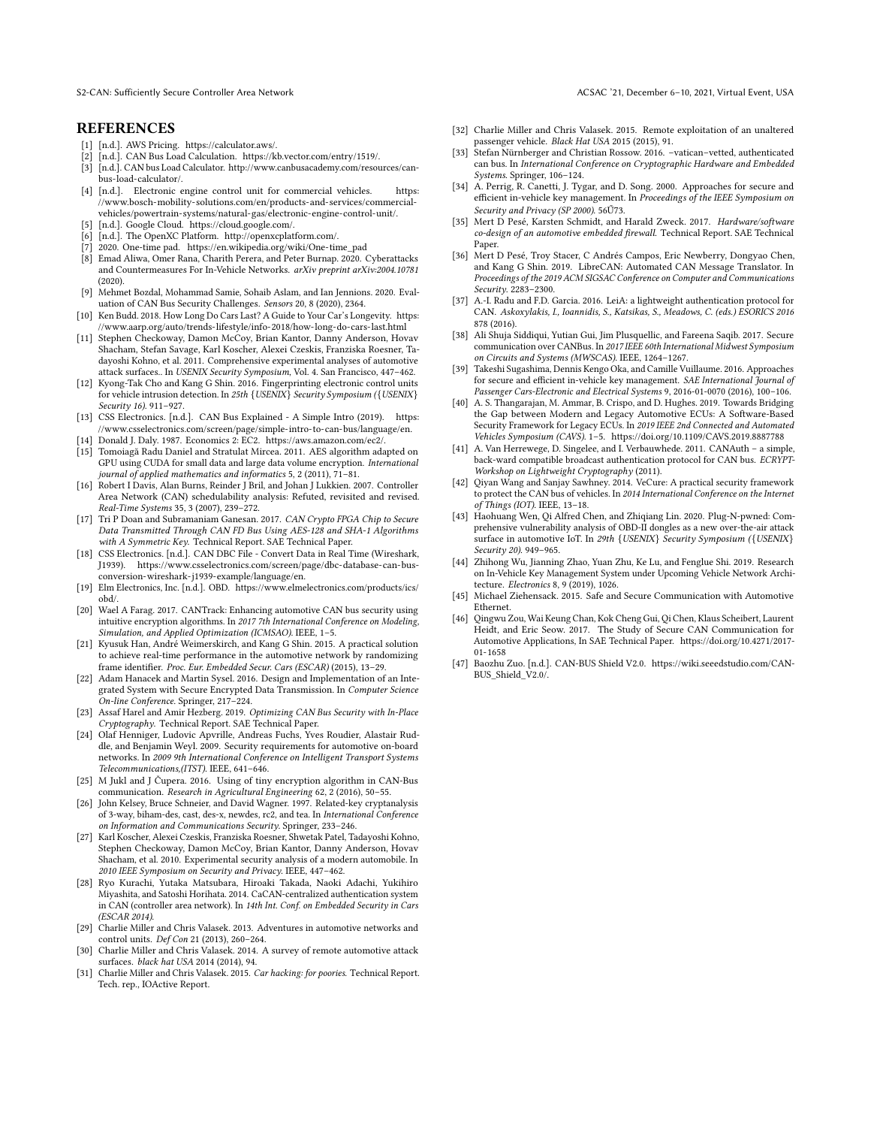S2-CAN: Sufficiently Secure Controller Area Network ACSAC '21, December 6–10, 2021, Virtual Event, USA

#### **REFERENCES**

- <span id="page-12-45"></span>[1] [n.d.]. AWS Pricing. [https://calculator.aws/.](https://calculator.aws/)
- <span id="page-12-42"></span>[n.d.]. CAN Bus Load Calculation. [https://kb.vector.com/entry/1519/.](https://kb.vector.com/entry/1519/)
- <span id="page-12-19"></span>[3] [n.d.]. CAN bus Load Calculator. [http://www.canbusacademy.com/resources/can](http://www.canbusacademy.com/resources/can-bus-load-calculator/)[bus-load-calculator/.](http://www.canbusacademy.com/resources/can-bus-load-calculator/)
- <span id="page-12-15"></span>[4] [n.d.]. Electronic engine control unit for commercial vehicles. [https:](https://www.bosch-mobility-solutions.com/en/products-and-services/commercial-vehicles/powertrain-systems/natural-gas/electronic-engine-control-unit/) [//www.bosch-mobility-solutions.com/en/products-and-services/commercial](https://www.bosch-mobility-solutions.com/en/products-and-services/commercial-vehicles/powertrain-systems/natural-gas/electronic-engine-control-unit/)[vehicles/powertrain-systems/natural-gas/electronic-engine-control-unit/.](https://www.bosch-mobility-solutions.com/en/products-and-services/commercial-vehicles/powertrain-systems/natural-gas/electronic-engine-control-unit/)
- <span id="page-12-44"></span>[n.d.]. Google Cloud. [https://cloud.google.com/.](https://cloud.google.com/)
- <span id="page-12-23"></span>[6] [n.d.]. The OpenXC Platform. [http://openxcplatform.com/.](http://openxcplatform.com/)
- <span id="page-12-40"></span>[7] 2020. One-time pad. [https://en.wikipedia.org/wiki/One-time\\_pad](https://en.wikipedia.org/wiki/One-time_pad)
- <span id="page-12-26"></span>[8] Emad Aliwa, Omer Rana, Charith Perera, and Peter Burnap. 2020. Cyberattacks and Countermeasures For In-Vehicle Networks. arXiv preprint arXiv:2004.10781 (2020).
- <span id="page-12-29"></span>[9] Mehmet Bozdal, Mohammad Samie, Sohaib Aslam, and Ian Jennions. 2020. Evaluation of CAN Bus Security Challenges. Sensors 20, 8 (2020), 2364.
- <span id="page-12-36"></span>[10] Ken Budd. 2018. How Long Do Cars Last? A Guide to Your Car's Longevity. [https:](https://www.aarp.org/auto/trends-lifestyle/info-2018/how-long-do-cars-last.html) [//www.aarp.org/auto/trends-lifestyle/info-2018/how-long-do-cars-last.html](https://www.aarp.org/auto/trends-lifestyle/info-2018/how-long-do-cars-last.html)
- <span id="page-12-0"></span>[11] Stephen Checkoway, Damon McCoy, Brian Kantor, Danny Anderson, Hovav Shacham, Stefan Savage, Karl Koscher, Alexei Czeskis, Franziska Roesner, Tadayoshi Kohno, et al. 2011. Comprehensive experimental analyses of automotive attack surfaces.. In USENIX Security Symposium, Vol. 4. San Francisco, 447–462.
- <span id="page-12-28"></span>[12] Kyong-Tak Cho and Kang G Shin. 2016. Fingerprinting electronic control units for vehicle intrusion detection. In 25th {USENIX} Security Symposium ({USENIX} Security 16). 911–927.
- <span id="page-12-20"></span>[13] CSS Electronics. [n.d.]. CAN Bus Explained - A Simple Intro (2019). [https:](https://www.csselectronics.com/screen/page/simple-intro-to-can-bus/language/en) [//www.csselectronics.com/screen/page/simple-intro-to-can-bus/language/en.](https://www.csselectronics.com/screen/page/simple-intro-to-can-bus/language/en)
- <span id="page-12-43"></span>[14] Donald J. Daly. 1987. Economics 2: EC2. [https://aws.amazon.com/ec2/.](https://aws.amazon.com/ec2/) [15] Tomoiagă Radu Daniel and Stratulat Mircea. 2011. AES algorithm adapted on
- <span id="page-12-46"></span>GPU using CUDA for small data and large data volume encryption. International journal of applied mathematics and informatics 5, 2 (2011), 71–81.
- <span id="page-12-17"></span>[16] Robert I Davis, Alan Burns, Reinder J Bril, and Johan J Lukkien, 2007. Controller Area Network (CAN) schedulability analysis: Refuted, revisited and revised. Real-Time Systems 35, 3 (2007), 239–272.
- <span id="page-12-30"></span>[17] Tri P Doan and Subramaniam Ganesan. 2017. CAN Crypto FPGA Chip to Secure Data Transmitted Through CAN FD Bus Using AES-128 and SHA-1 Algorithms with A Symmetric Key. Technical Report. SAE Technical Paper.
- <span id="page-12-21"></span>[18] CSS Electronics. [n.d.]. CAN DBC File - Convert Data in Real Time (Wireshark, J1939). [https://www.csselectronics.com/screen/page/dbc-database-can-bus](https://www.csselectronics.com/screen/page/dbc-database-can-bus-conversion-wireshark-j1939-example/language/en)[conversion-wireshark-j1939-example/language/en.](https://www.csselectronics.com/screen/page/dbc-database-can-bus-conversion-wireshark-j1939-example/language/en)
- <span id="page-12-24"></span>[19] Elm Electronics, Inc. [n.d.]. OBD. [https://www.elmelectronics.com/products/ics/](https://www.elmelectronics.com/products/ics/obd/) [obd/.](https://www.elmelectronics.com/products/ics/obd/)
- <span id="page-12-32"></span>[20] Wael A Farag. 2017. CANTrack: Enhancing automotive CAN bus security using intuitive encryption algorithms. In 2017 7th International Conference on Modeling, Simulation, and Applied Optimization (ICMSAO). IEEE, 1–5.
- <span id="page-12-10"></span>[21] Kyusuk Han, André Weimerskirch, and Kang G Shin. 2015. A practical solution to achieve real-time performance in the automotive network by randomizing frame identifier. Proc. Eur. Embedded Secur. Cars (ESCAR) (2015), 13–29.
- <span id="page-12-35"></span>[22] Adam Hanacek and Martin Sysel. 2016. Design and Implementation of an Integrated System with Secure Encrypted Data Transmission. In Computer Science On-line Conference. Springer, 217–224.
- <span id="page-12-33"></span>[23] Assaf Harel and Amir Hezberg. 2019. Optimizing CAN Bus Security with In-Place Cryptography. Technical Report. SAE Technical Paper.
- <span id="page-12-6"></span>[24] Olaf Henniger, Ludovic Apvrille, Andreas Fuchs, Yves Roudier, Alastair Ruddle, and Benjamin Weyl. 2009. Security requirements for automotive on-board networks. In 2009 9th International Conference on Intelligent Transport Systems Telecommunications,(ITST). IEEE, 641–646.
- <span id="page-12-34"></span>[25] M Jukl and J Čupera. 2016. Using of tiny encryption algorithm in CAN-Bus communication. Research in Agricultural Engineering 62, 2 (2016), 50–55.
- <span id="page-12-41"></span>[26] John Kelsey, Bruce Schneier, and David Wagner. 1997. Related-key cryptanalysis of 3-way, biham-des, cast, des-x, newdes, rc2, and tea. In International Conference on Information and Communications Security. Springer, 233–246.
- <span id="page-12-1"></span>[27] Karl Koscher, Alexei Czeskis, Franziska Roesner, Shwetak Patel, Tadayoshi Kohno, Stephen Checkoway, Damon McCoy, Brian Kantor, Danny Anderson, Hovav Shacham, et al. 2010. Experimental security analysis of a modern automobile. In 2010 IEEE Symposium on Security and Privacy. IEEE, 447–462.
- <span id="page-12-9"></span>[28] Ryo Kurachi, Yutaka Matsubara, Hiroaki Takada, Naoki Adachi, Yukihiro Miyashita, and Satoshi Horihata. 2014. CaCAN-centralized authentication system in CAN (controller area network). In 14th Int. Conf. on Embedded Security in Cars (ESCAR 2014).
- <span id="page-12-3"></span>[29] Charlie Miller and Chris Valasek. 2013. Adventures in automotive networks and control units. Def Con 21 (2013), 260–264.
- <span id="page-12-4"></span>[30] Charlie Miller and Chris Valasek. 2014. A survey of remote automotive attack surfaces. black hat USA 2014 (2014), 94.
- <span id="page-12-2"></span>[31] Charlie Miller and Chris Valasek. 2015. Car hacking: for poories. Technical Report. Tech. rep., IOActive Report.
- <span id="page-12-5"></span>[32] Charlie Miller and Chris Valasek. 2015. Remote exploitation of an unaltered passenger vehicle. Black Hat USA 2015 (2015), 91.
- <span id="page-12-11"></span>[33] Stefan Nürnberger and Christian Rossow. 2016. –vatican–vetted, authenticated can bus. In International Conference on Cryptographic Hardware and Embedded Systems. Springer, 106–124.
- <span id="page-12-12"></span>[34] A. Perrig, R. Canetti, J. Tygar, and D. Song. 2000. Approaches for secure and efficient in-vehicle key management. In Proceedings of the IEEE Symposium on Security and Privacy (SP 2000). 56Ű73.
- <span id="page-12-25"></span>[35] Mert D Pesé, Karsten Schmidt, and Harald Zweck. 2017. Hardware/software co-design of an automotive embedded firewall. Technical Report. SAE Technical Paper.
- <span id="page-12-7"></span>[36] Mert D Pesé, Troy Stacer, C Andrés Campos, Eric Newberry, Dongyao Chen, and Kang G Shin. 2019. LibreCAN: Automated CAN Message Translator. In Proceedings of the 2019 ACM SIGSAC Conference on Computer and Communications Security. 2283–2300.
- <span id="page-12-13"></span>[37] A.-I. Radu and F.D. Garcia. 2016. LeiA: a lightweight authentication protocol for CAN. Askoxylakis, I., Ioannidis, S., Katsikas, S., Meadows, C. (eds.) ESORICS 2016 878 (2016).
- <span id="page-12-31"></span>[38] Ali Shuja Siddiqui, Yutian Gui, Jim Plusquellic, and Fareena Saqib. 2017. Secure communication over CANBus. In 2017 IEEE 60th International Midwest Symposium on Circuits and Systems (MWSCAS). IEEE, 1264–1267.
- <span id="page-12-38"></span>[39] Takeshi Sugashima, Dennis Kengo Oka, and Camille Vuillaume. 2016. Approaches for secure and efficient in-vehicle key management. SAE International Journal of Passenger Cars-Electronic and Electrical Systems 9, 2016-01-0070 (2016), 100–106.
- <span id="page-12-16"></span>[40] A. S. Thangarajan, M. Ammar, B. Crispo, and D. Hughes. 2019. Towards Bridging the Gap between Modern and Legacy Automotive ECUs: A Software-Based Security Framework for Legacy ECUs. In 2019 IEEE 2nd Connected and Automated Vehicles Symposium (CAVS). 1–5.<https://doi.org/10.1109/CAVS.2019.8887788>
- <span id="page-12-14"></span>[41] A. Van Herrewege, D. Singelee, and I. Verbauwhede. 2011. CANAuth – a simple, back-ward compatible broadcast authentication protocol for CAN bus. ECRYPT-Workshop on Lightweight Cryptography (2011).
- <span id="page-12-18"></span>[42] Qiyan Wang and Sanjay Sawhney. 2014. VeCure: A practical security framework to protect the CAN bus of vehicles. In 2014 International Conference on the Internet of Things (IOT). IEEE, 13–18.
- <span id="page-12-27"></span>[43] Haohuang Wen, Qi Alfred Chen, and Zhiqiang Lin. 2020. Plug-N-pwned: Comprehensive vulnerability analysis of OBD-II dongles as a new over-the-air attack surface in automotive IoT. In 29th {USENIX} Security Symposium ({USENIX} Security 20). 949-965.
- <span id="page-12-37"></span>[44] Zhihong Wu, Jianning Zhao, Yuan Zhu, Ke Lu, and Fenglue Shi. 2019. Research on In-Vehicle Key Management System under Upcoming Vehicle Network Architecture. Electronics 8, 9 (2019), 1026.
- <span id="page-12-8"></span>[45] Michael Ziehensack. 2015. Safe and Secure Communication with Automotive Ethernet.
- <span id="page-12-39"></span>[46] Qingwu Zou, Wai Keung Chan, Kok Cheng Gui, Qi Chen, Klaus Scheibert, Laurent Heidt, and Eric Seow. 2017. The Study of Secure CAN Communication for Automotive Applications, In SAE Technical Paper. [https://doi.org/10.4271/2017-](https://doi.org/10.4271/2017-01-1658) [01-1658](https://doi.org/10.4271/2017-01-1658)
- <span id="page-12-22"></span>[47] Baozhu Zuo. [n.d.]. CAN-BUS Shield V2.0. [https://wiki.seeedstudio.com/CAN-](https://wiki.seeedstudio.com/CAN-BUS_Shield_V2.0/)[BUS\\_Shield\\_V2.0/.](https://wiki.seeedstudio.com/CAN-BUS_Shield_V2.0/)